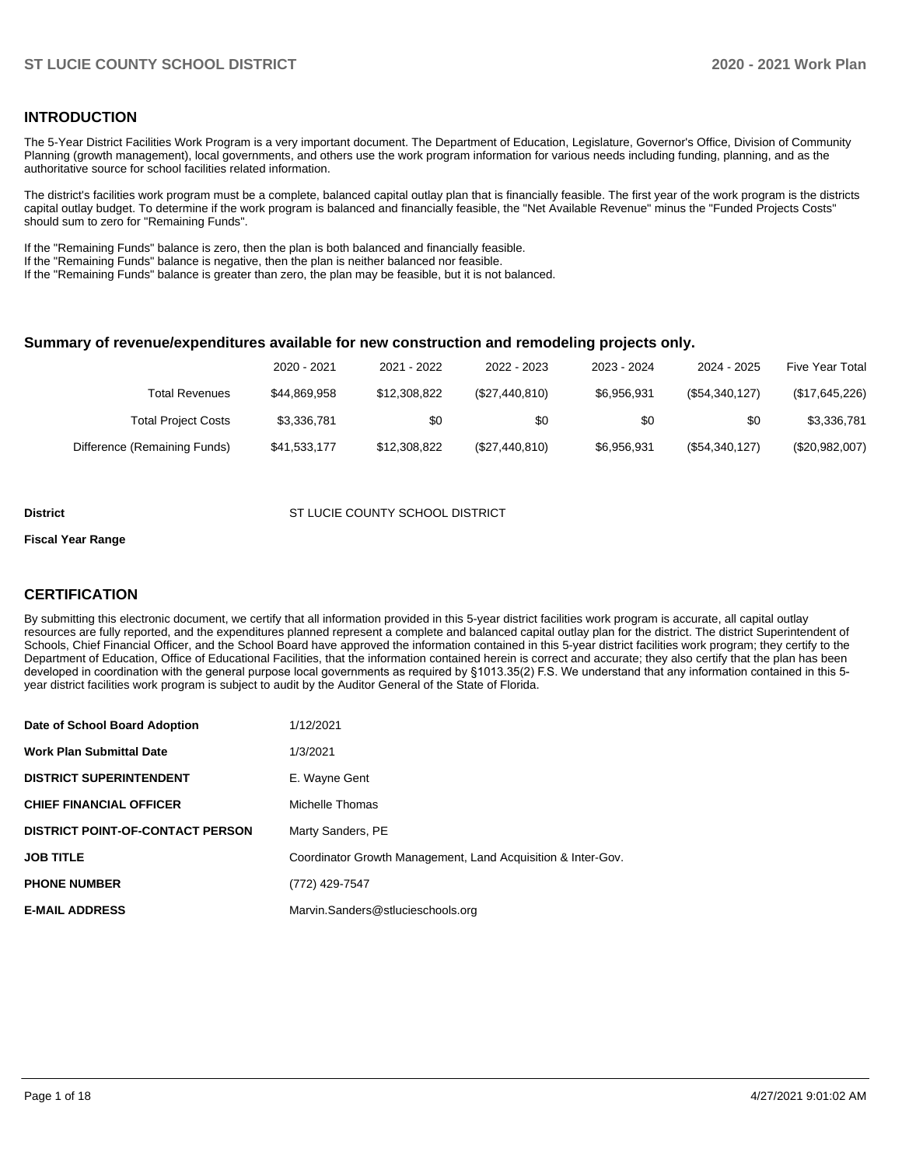#### **INTRODUCTION**

The 5-Year District Facilities Work Program is a very important document. The Department of Education, Legislature, Governor's Office, Division of Community Planning (growth management), local governments, and others use the work program information for various needs including funding, planning, and as the authoritative source for school facilities related information.

The district's facilities work program must be a complete, balanced capital outlay plan that is financially feasible. The first year of the work program is the districts capital outlay budget. To determine if the work program is balanced and financially feasible, the "Net Available Revenue" minus the "Funded Projects Costs" should sum to zero for "Remaining Funds".

If the "Remaining Funds" balance is zero, then the plan is both balanced and financially feasible.

If the "Remaining Funds" balance is negative, then the plan is neither balanced nor feasible.

If the "Remaining Funds" balance is greater than zero, the plan may be feasible, but it is not balanced.

#### **Summary of revenue/expenditures available for new construction and remodeling projects only.**

| <b>Five Year Total</b> | 2024 - 2025    | 2023 - 2024 | 2022 - 2023    | 2021 - 2022  | 2020 - 2021  |                              |
|------------------------|----------------|-------------|----------------|--------------|--------------|------------------------------|
| (\$17,645,226)         | (\$54,340,127) | \$6,956,931 | (\$27,440,810) | \$12,308,822 | \$44,869,958 | Total Revenues               |
| \$3,336,781            | \$0            | \$0         | \$0            | \$0          | \$3,336,781  | <b>Total Project Costs</b>   |
| (\$20,982,007)         | (\$54,340,127) | \$6,956,931 | (\$27,440,810) | \$12,308,822 | \$41,533,177 | Difference (Remaining Funds) |

#### **District COUNTY SCHOOL DISTRICT COUNTY SCHOOL DISTRICT**

#### **Fiscal Year Range**

### **CERTIFICATION**

By submitting this electronic document, we certify that all information provided in this 5-year district facilities work program is accurate, all capital outlay resources are fully reported, and the expenditures planned represent a complete and balanced capital outlay plan for the district. The district Superintendent of Schools, Chief Financial Officer, and the School Board have approved the information contained in this 5-year district facilities work program; they certify to the Department of Education, Office of Educational Facilities, that the information contained herein is correct and accurate; they also certify that the plan has been developed in coordination with the general purpose local governments as required by §1013.35(2) F.S. We understand that any information contained in this 5 year district facilities work program is subject to audit by the Auditor General of the State of Florida.

| Date of School Board Adoption           | 1/12/2021                                                    |
|-----------------------------------------|--------------------------------------------------------------|
| <b>Work Plan Submittal Date</b>         | 1/3/2021                                                     |
| <b>DISTRICT SUPERINTENDENT</b>          | E. Wayne Gent                                                |
| <b>CHIEF FINANCIAL OFFICER</b>          | Michelle Thomas                                              |
| <b>DISTRICT POINT-OF-CONTACT PERSON</b> | Marty Sanders, PE                                            |
| <b>JOB TITLE</b>                        | Coordinator Growth Management, Land Acquisition & Inter-Gov. |
| <b>PHONE NUMBER</b>                     | (772) 429-7547                                               |
| <b>E-MAIL ADDRESS</b>                   | Marvin.Sanders@stlucieschools.org                            |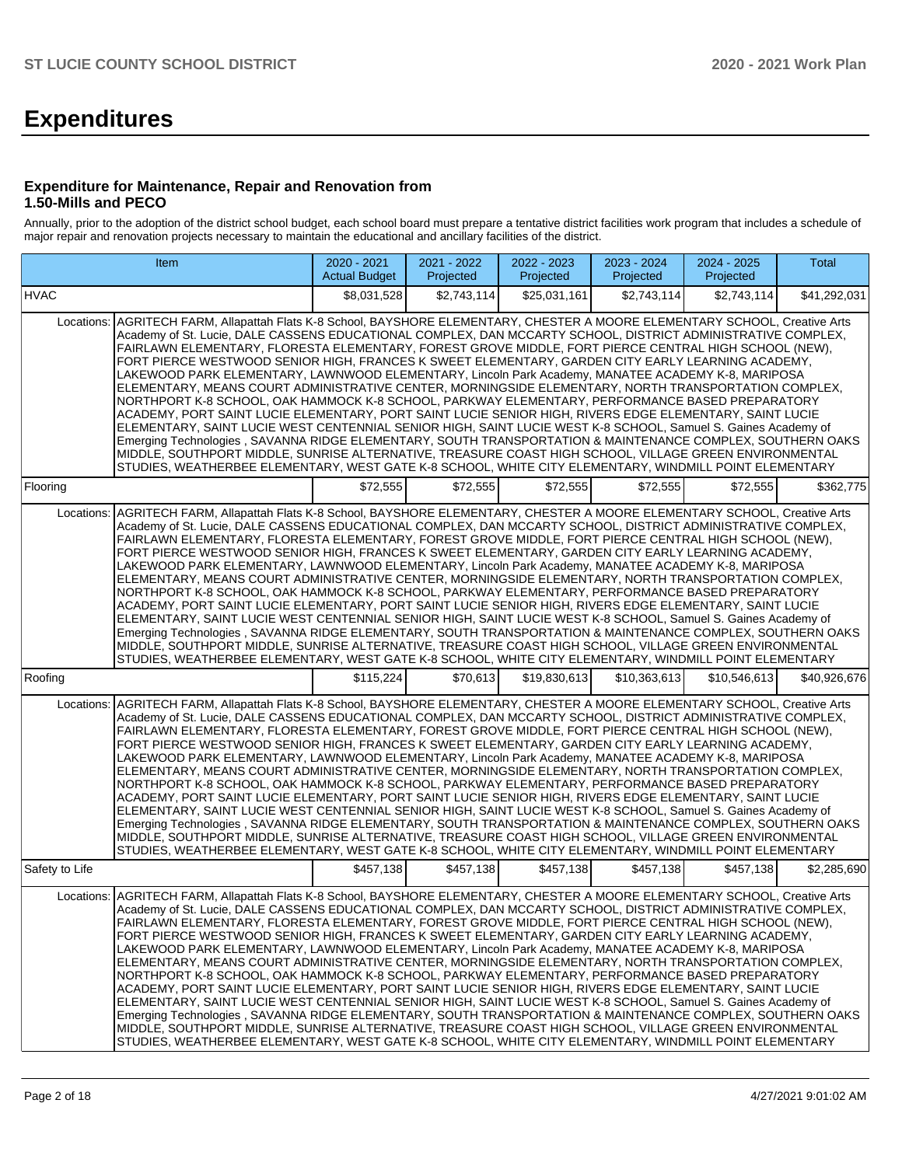# **Expenditures**

#### **Expenditure for Maintenance, Repair and Renovation from 1.50-Mills and PECO**

Annually, prior to the adoption of the district school budget, each school board must prepare a tentative district facilities work program that includes a schedule of major repair and renovation projects necessary to maintain the educational and ancillary facilities of the district.

| Item                                                                                                                                                                                                                                                                                                                                                                                                                                                                                                                                                                                                                                                                                                                                                                                                                                                                                                                                                                                                                                                                                                                                                                                                                                                                                                                                         | 2020 - 2021<br><b>Actual Budget</b> | 2021 - 2022<br>Projected | 2022 - 2023<br>Projected | 2023 - 2024<br>Projected | 2024 - 2025<br>Projected | Total        |  |  |  |  |  |
|----------------------------------------------------------------------------------------------------------------------------------------------------------------------------------------------------------------------------------------------------------------------------------------------------------------------------------------------------------------------------------------------------------------------------------------------------------------------------------------------------------------------------------------------------------------------------------------------------------------------------------------------------------------------------------------------------------------------------------------------------------------------------------------------------------------------------------------------------------------------------------------------------------------------------------------------------------------------------------------------------------------------------------------------------------------------------------------------------------------------------------------------------------------------------------------------------------------------------------------------------------------------------------------------------------------------------------------------|-------------------------------------|--------------------------|--------------------------|--------------------------|--------------------------|--------------|--|--|--|--|--|
| <b>HVAC</b>                                                                                                                                                                                                                                                                                                                                                                                                                                                                                                                                                                                                                                                                                                                                                                                                                                                                                                                                                                                                                                                                                                                                                                                                                                                                                                                                  | \$8,031,528                         | \$2,743,114              | \$25,031,161             | \$2,743,114              | \$2,743,114              | \$41,292,031 |  |  |  |  |  |
| AGRITECH FARM, Allapattah Flats K-8 School, BAYSHORE ELEMENTARY, CHESTER A MOORE ELEMENTARY SCHOOL, Creative Arts<br>Locations:<br>Academy of St. Lucie, DALE CASSENS EDUCATIONAL COMPLEX, DAN MCCARTY SCHOOL, DISTRICT ADMINISTRATIVE COMPLEX,<br>FAIRLAWN ELEMENTARY, FLORESTA ELEMENTARY, FOREST GROVE MIDDLE, FORT PIERCE CENTRAL HIGH SCHOOL (NEW),<br>FORT PIERCE WESTWOOD SENIOR HIGH, FRANCES K SWEET ELEMENTARY, GARDEN CITY EARLY LEARNING ACADEMY,<br>LAKEWOOD PARK ELEMENTARY, LAWNWOOD ELEMENTARY, Lincoln Park Academy, MANATEE ACADEMY K-8, MARIPOSA<br>ELEMENTARY, MEANS COURT ADMINISTRATIVE CENTER, MORNINGSIDE ELEMENTARY, NORTH TRANSPORTATION COMPLEX,<br>NORTHPORT K-8 SCHOOL, OAK HAMMOCK K-8 SCHOOL, PARKWAY ELEMENTARY, PERFORMANCE BASED PREPARATORY<br>ACADEMY, PORT SAINT LUCIE ELEMENTARY, PORT SAINT LUCIE SENIOR HIGH, RIVERS EDGE ELEMENTARY, SAINT LUCIE<br>ELEMENTARY, SAINT LUCIE WEST CENTENNIAL SENIOR HIGH, SAINT LUCIE WEST K-8 SCHOOL, Samuel S. Gaines Academy of<br>Emerging Technologies, SAVANNA RIDGE ELEMENTARY, SOUTH TRANSPORTATION & MAINTENANCE COMPLEX, SOUTHERN OAKS<br>MIDDLE, SOUTHPORT MIDDLE, SUNRISE ALTERNATIVE, TREASURE COAST HIGH SCHOOL, VILLAGE GREEN ENVIRONMENTAL<br>STUDIES, WEATHERBEE ELEMENTARY, WEST GATE K-8 SCHOOL, WHITE CITY ELEMENTARY, WINDMILL POINT ELEMENTARY |                                     |                          |                          |                          |                          |              |  |  |  |  |  |
| Flooring                                                                                                                                                                                                                                                                                                                                                                                                                                                                                                                                                                                                                                                                                                                                                                                                                                                                                                                                                                                                                                                                                                                                                                                                                                                                                                                                     | \$72,555                            | \$72,555                 | \$72,555                 | \$72,555                 | \$72,555                 | \$362,775    |  |  |  |  |  |
| AGRITECH FARM, Allapattah Flats K-8 School, BAYSHORE ELEMENTARY, CHESTER A MOORE ELEMENTARY SCHOOL, Creative Arts<br>Locations:<br>Academy of St. Lucie, DALE CASSENS EDUCATIONAL COMPLEX, DAN MCCARTY SCHOOL, DISTRICT ADMINISTRATIVE COMPLEX,<br>FAIRLAWN ELEMENTARY, FLORESTA ELEMENTARY, FOREST GROVE MIDDLE, FORT PIERCE CENTRAL HIGH SCHOOL (NEW),<br>FORT PIERCE WESTWOOD SENIOR HIGH, FRANCES K SWEET ELEMENTARY, GARDEN CITY EARLY LEARNING ACADEMY,<br>LAKEWOOD PARK ELEMENTARY, LAWNWOOD ELEMENTARY, Lincoln Park Academy, MANATEE ACADEMY K-8, MARIPOSA<br>ELEMENTARY, MEANS COURT ADMINISTRATIVE CENTER, MORNINGSIDE ELEMENTARY, NORTH TRANSPORTATION COMPLEX,<br>NORTHPORT K-8 SCHOOL, OAK HAMMOCK K-8 SCHOOL, PARKWAY ELEMENTARY, PERFORMANCE BASED PREPARATORY<br>ACADEMY, PORT SAINT LUCIE ELEMENTARY, PORT SAINT LUCIE SENIOR HIGH, RIVERS EDGE ELEMENTARY, SAINT LUCIE<br>ELEMENTARY, SAINT LUCIE WEST CENTENNIAL SENIOR HIGH, SAINT LUCIE WEST K-8 SCHOOL, Samuel S. Gaines Academy of<br>Emerging Technologies, SAVANNA RIDGE ELEMENTARY, SOUTH TRANSPORTATION & MAINTENANCE COMPLEX, SOUTHERN OAKS<br>MIDDLE, SOUTHPORT MIDDLE, SUNRISE ALTERNATIVE, TREASURE COAST HIGH SCHOOL, VILLAGE GREEN ENVIRONMENTAL<br>STUDIES, WEATHERBEE ELEMENTARY, WEST GATE K-8 SCHOOL, WHITE CITY ELEMENTARY, WINDMILL POINT ELEMENTARY |                                     |                          |                          |                          |                          |              |  |  |  |  |  |
| Roofing                                                                                                                                                                                                                                                                                                                                                                                                                                                                                                                                                                                                                                                                                                                                                                                                                                                                                                                                                                                                                                                                                                                                                                                                                                                                                                                                      | \$115,224                           | \$70.613                 | \$19,830,613             | \$10.363.613             | \$10,546,613             | \$40,926,676 |  |  |  |  |  |
| AGRITECH FARM, Allapattah Flats K-8 School, BAYSHORE ELEMENTARY, CHESTER A MOORE ELEMENTARY SCHOOL, Creative Arts<br>Locations:<br>Academy of St. Lucie, DALE CASSENS EDUCATIONAL COMPLEX, DAN MCCARTY SCHOOL, DISTRICT ADMINISTRATIVE COMPLEX,<br>FAIRLAWN ELEMENTARY, FLORESTA ELEMENTARY, FOREST GROVE MIDDLE, FORT PIERCE CENTRAL HIGH SCHOOL (NEW),<br>FORT PIERCE WESTWOOD SENIOR HIGH, FRANCES K SWEET ELEMENTARY, GARDEN CITY EARLY LEARNING ACADEMY,<br>LAKEWOOD PARK ELEMENTARY, LAWNWOOD ELEMENTARY, Lincoln Park Academy, MANATEE ACADEMY K-8, MARIPOSA<br>ELEMENTARY, MEANS COURT ADMINISTRATIVE CENTER, MORNINGSIDE ELEMENTARY, NORTH TRANSPORTATION COMPLEX,<br>NORTHPORT K-8 SCHOOL, OAK HAMMOCK K-8 SCHOOL, PARKWAY ELEMENTARY, PERFORMANCE BASED PREPARATORY<br>ACADEMY, PORT SAINT LUCIE ELEMENTARY, PORT SAINT LUCIE SENIOR HIGH, RIVERS EDGE ELEMENTARY, SAINT LUCIE<br>ELEMENTARY, SAINT LUCIE WEST CENTENNIAL SENIOR HIGH, SAINT LUCIE WEST K-8 SCHOOL, Samuel S. Gaines Academy of<br>Emerging Technologies, SAVANNA RIDGE ELEMENTARY, SOUTH TRANSPORTATION & MAINTENANCE COMPLEX, SOUTHERN OAKS<br>MIDDLE, SOUTHPORT MIDDLE, SUNRISE ALTERNATIVE, TREASURE COAST HIGH SCHOOL, VILLAGE GREEN ENVIRONMENTAL<br>STUDIES, WEATHERBEE ELEMENTARY, WEST GATE K-8 SCHOOL, WHITE CITY ELEMENTARY, WINDMILL POINT ELEMENTARY |                                     |                          |                          |                          |                          |              |  |  |  |  |  |
| Safety to Life                                                                                                                                                                                                                                                                                                                                                                                                                                                                                                                                                                                                                                                                                                                                                                                                                                                                                                                                                                                                                                                                                                                                                                                                                                                                                                                               | \$457,138                           | \$457,138                | \$457,138                | \$457,138                | \$457,138                | \$2,285,690  |  |  |  |  |  |
| AGRITECH FARM, Allapattah Flats K-8 School, BAYSHORE ELEMENTARY, CHESTER A MOORE ELEMENTARY SCHOOL, Creative Arts<br>Locations:<br>Academy of St. Lucie, DALE CASSENS EDUCATIONAL COMPLEX, DAN MCCARTY SCHOOL, DISTRICT ADMINISTRATIVE COMPLEX,<br>FAIRLAWN ELEMENTARY, FLORESTA ELEMENTARY, FOREST GROVE MIDDLE, FORT PIERCE CENTRAL HIGH SCHOOL (NEW),<br>FORT PIERCE WESTWOOD SENIOR HIGH, FRANCES K SWEET ELEMENTARY, GARDEN CITY EARLY LEARNING ACADEMY,<br>LAKEWOOD PARK ELEMENTARY, LAWNWOOD ELEMENTARY, Lincoln Park Academy, MANATEE ACADEMY K-8, MARIPOSA<br>ELEMENTARY, MEANS COURT ADMINISTRATIVE CENTER, MORNINGSIDE ELEMENTARY, NORTH TRANSPORTATION COMPLEX,<br>NORTHPORT K-8 SCHOOL, OAK HAMMOCK K-8 SCHOOL, PARKWAY ELEMENTARY, PERFORMANCE BASED PREPARATORY<br>ACADEMY, PORT SAINT LUCIE ELEMENTARY, PORT SAINT LUCIE SENIOR HIGH, RIVERS EDGE ELEMENTARY, SAINT LUCIE<br>ELEMENTARY, SAINT LUCIE WEST CENTENNIAL SENIOR HIGH, SAINT LUCIE WEST K-8 SCHOOL, Samuel S, Gaines Academy of<br>Emerging Technologies, SAVANNA RIDGE ELEMENTARY, SOUTH TRANSPORTATION & MAINTENANCE COMPLEX, SOUTHERN OAKS<br>MIDDLE, SOUTHPORT MIDDLE, SUNRISE ALTERNATIVE, TREASURE COAST HIGH SCHOOL, VILLAGE GREEN ENVIRONMENTAL<br>STUDIES, WEATHERBEE ELEMENTARY, WEST GATE K-8 SCHOOL, WHITE CITY ELEMENTARY, WINDMILL POINT ELEMENTARY |                                     |                          |                          |                          |                          |              |  |  |  |  |  |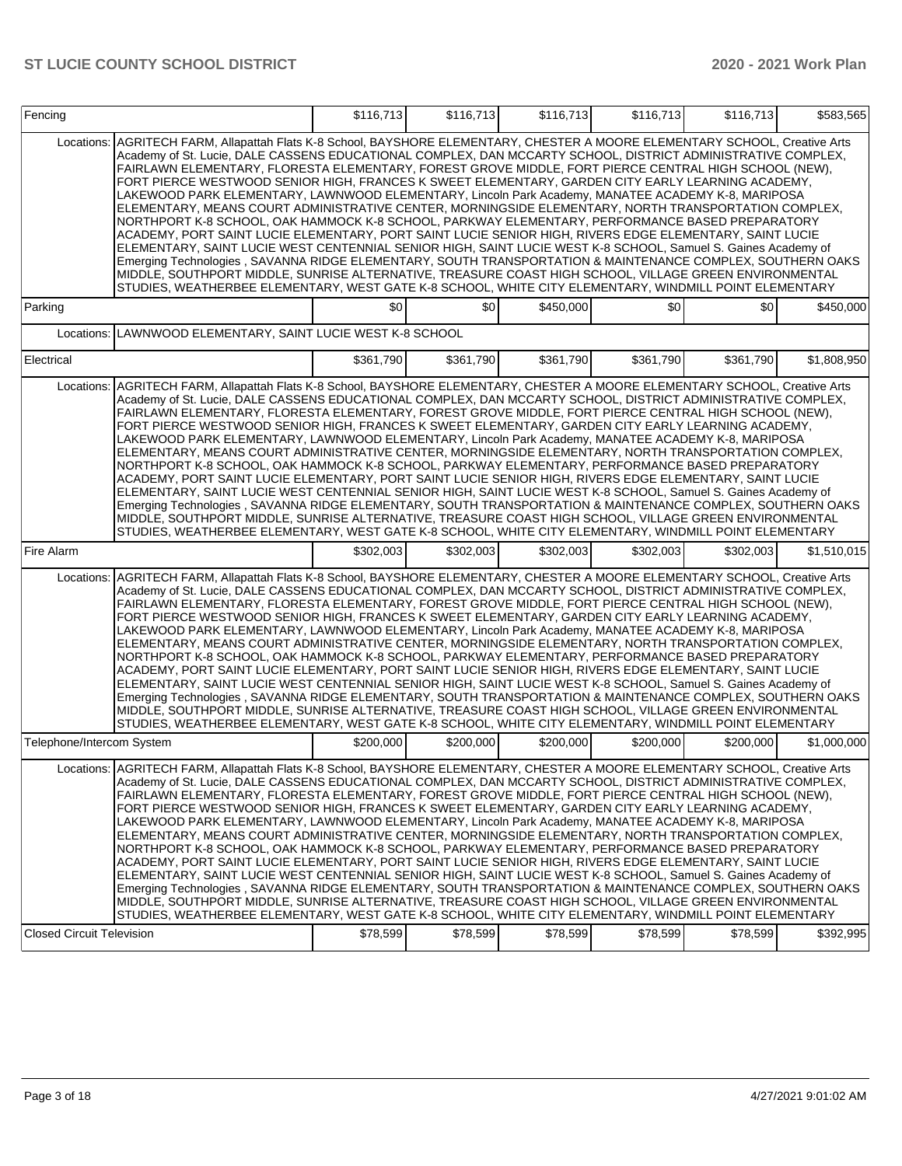| Fencing                          |                                                                                                                                                                                                                                                                                                                                                                                                                                                                                                                                                                                                                                                                                                                                                                                                                                                                                                                                                                                                                                                                                                                                                                                                                                                                                                                                              | \$116,713 | \$116.713 | \$116,713 | \$116,713 | \$116,713 | \$583.565   |
|----------------------------------|----------------------------------------------------------------------------------------------------------------------------------------------------------------------------------------------------------------------------------------------------------------------------------------------------------------------------------------------------------------------------------------------------------------------------------------------------------------------------------------------------------------------------------------------------------------------------------------------------------------------------------------------------------------------------------------------------------------------------------------------------------------------------------------------------------------------------------------------------------------------------------------------------------------------------------------------------------------------------------------------------------------------------------------------------------------------------------------------------------------------------------------------------------------------------------------------------------------------------------------------------------------------------------------------------------------------------------------------|-----------|-----------|-----------|-----------|-----------|-------------|
| Locations:                       | AGRITECH FARM, Allapattah Flats K-8 School, BAYSHORE ELEMENTARY, CHESTER A MOORE ELEMENTARY SCHOOL, Creative Arts<br>Academy of St. Lucie, DALE CASSENS EDUCATIONAL COMPLEX, DAN MCCARTY SCHOOL, DISTRICT ADMINISTRATIVE COMPLEX,<br>FAIRLAWN ELEMENTARY, FLORESTA ELEMENTARY, FOREST GROVE MIDDLE, FORT PIERCE CENTRAL HIGH SCHOOL (NEW),<br>FORT PIERCE WESTWOOD SENIOR HIGH, FRANCES K SWEET ELEMENTARY, GARDEN CITY EARLY LEARNING ACADEMY,<br>LAKEWOOD PARK ELEMENTARY, LAWNWOOD ELEMENTARY, Lincoln Park Academy, MANATEE ACADEMY K-8, MARIPOSA<br>ELEMENTARY, MEANS COURT ADMINISTRATIVE CENTER, MORNINGSIDE ELEMENTARY, NORTH TRANSPORTATION COMPLEX,<br>NORTHPORT K-8 SCHOOL, OAK HAMMOCK K-8 SCHOOL, PARKWAY ELEMENTARY, PERFORMANCE BASED PREPARATORY<br>ACADEMY, PORT SAINT LUCIE ELEMENTARY, PORT SAINT LUCIE SENIOR HIGH, RIVERS EDGE ELEMENTARY, SAINT LUCIE<br>ELEMENTARY, SAINT LUCIE WEST CENTENNIAL SENIOR HIGH, SAINT LUCIE WEST K-8 SCHOOL, Samuel S. Gaines Academy of<br>Emerging Technologies, SAVANNA RIDGE ELEMENTARY, SOUTH TRANSPORTATION & MAINTENANCE COMPLEX, SOUTHERN OAKS<br>MIDDLE, SOUTHPORT MIDDLE, SUNRISE ALTERNATIVE, TREASURE COAST HIGH SCHOOL, VILLAGE GREEN ENVIRONMENTAL<br>STUDIES, WEATHERBEE ELEMENTARY, WEST GATE K-8 SCHOOL, WHITE CITY ELEMENTARY, WINDMILL POINT ELEMENTARY               |           |           |           |           |           |             |
| Parking                          |                                                                                                                                                                                                                                                                                                                                                                                                                                                                                                                                                                                                                                                                                                                                                                                                                                                                                                                                                                                                                                                                                                                                                                                                                                                                                                                                              | \$0       | \$0       | \$450,000 | \$0       | \$0       | \$450,000   |
| Locations:                       | LAWNWOOD ELEMENTARY, SAINT LUCIE WEST K-8 SCHOOL                                                                                                                                                                                                                                                                                                                                                                                                                                                                                                                                                                                                                                                                                                                                                                                                                                                                                                                                                                                                                                                                                                                                                                                                                                                                                             |           |           |           |           |           |             |
| Electrical                       |                                                                                                                                                                                                                                                                                                                                                                                                                                                                                                                                                                                                                                                                                                                                                                                                                                                                                                                                                                                                                                                                                                                                                                                                                                                                                                                                              | \$361,790 | \$361,790 | \$361,790 | \$361,790 | \$361,790 | \$1,808,950 |
|                                  | Locations:   AGRITECH FARM, Allapattah Flats K-8 School, BAYSHORE ELEMENTARY, CHESTER A MOORE ELEMENTARY SCHOOL, Creative Arts<br>Academy of St. Lucie, DALE CASSENS EDUCATIONAL COMPLEX, DAN MCCARTY SCHOOL, DISTRICT ADMINISTRATIVE COMPLEX,<br>FAIRLAWN ELEMENTARY, FLORESTA ELEMENTARY, FOREST GROVE MIDDLE, FORT PIERCE CENTRAL HIGH SCHOOL (NEW),<br>FORT PIERCE WESTWOOD SENIOR HIGH, FRANCES K SWEET ELEMENTARY, GARDEN CITY EARLY LEARNING ACADEMY,<br>LAKEWOOD PARK ELEMENTARY, LAWNWOOD ELEMENTARY, Lincoln Park Academy, MANATEE ACADEMY K-8, MARIPOSA<br>ELEMENTARY, MEANS COURT ADMINISTRATIVE CENTER, MORNINGSIDE ELEMENTARY, NORTH TRANSPORTATION COMPLEX,<br>NORTHPORT K-8 SCHOOL, OAK HAMMOCK K-8 SCHOOL, PARKWAY ELEMENTARY, PERFORMANCE BASED PREPARATORY<br>ACADEMY, PORT SAINT LUCIE ELEMENTARY, PORT SAINT LUCIE SENIOR HIGH, RIVERS EDGE ELEMENTARY, SAINT LUCIE<br>ELEMENTARY, SAINT LUCIE WEST CENTENNIAL SENIOR HIGH, SAINT LUCIE WEST K-8 SCHOOL, Samuel S. Gaines Academy of<br>Emerging Technologies , SAVANNA RIDGE ELEMENTARY, SOUTH TRANSPORTATION & MAINTENANCE COMPLEX, SOUTHERN OAKS<br>MIDDLE, SOUTHPORT MIDDLE, SUNRISE ALTERNATIVE, TREASURE COAST HIGH SCHOOL, VILLAGE GREEN ENVIRONMENTAL<br>STUDIES, WEATHERBEE ELEMENTARY, WEST GATE K-8 SCHOOL, WHITE CITY ELEMENTARY, WINDMILL POINT ELEMENTARY |           |           |           |           |           |             |
| Fire Alarm                       |                                                                                                                                                                                                                                                                                                                                                                                                                                                                                                                                                                                                                                                                                                                                                                                                                                                                                                                                                                                                                                                                                                                                                                                                                                                                                                                                              | \$302,003 | \$302,003 | \$302,003 | \$302,003 | \$302,003 | \$1,510,015 |
| Locations:                       | AGRITECH FARM, Allapattah Flats K-8 School, BAYSHORE ELEMENTARY, CHESTER A MOORE ELEMENTARY SCHOOL, Creative Arts<br>Academy of St. Lucie, DALE CASSENS EDUCATIONAL COMPLEX, DAN MCCARTY SCHOOL, DISTRICT ADMINISTRATIVE COMPLEX,<br>FAIRLAWN ELEMENTARY, FLORESTA ELEMENTARY, FOREST GROVE MIDDLE, FORT PIERCE CENTRAL HIGH SCHOOL (NEW),<br>FORT PIERCE WESTWOOD SENIOR HIGH, FRANCES K SWEET ELEMENTARY, GARDEN CITY EARLY LEARNING ACADEMY,<br>LAKEWOOD PARK ELEMENTARY, LAWNWOOD ELEMENTARY, Lincoln Park Academy, MANATEE ACADEMY K-8, MARIPOSA<br>ELEMENTARY, MEANS COURT ADMINISTRATIVE CENTER, MORNINGSIDE ELEMENTARY, NORTH TRANSPORTATION COMPLEX,<br>NORTHPORT K-8 SCHOOL, OAK HAMMOCK K-8 SCHOOL, PARKWAY ELEMENTARY, PERFORMANCE BASED PREPARATORY<br>ACADEMY, PORT SAINT LUCIE ELEMENTARY, PORT SAINT LUCIE SENIOR HIGH, RIVERS EDGE ELEMENTARY, SAINT LUCIE<br>ELEMENTARY, SAINT LUCIE WEST CENTENNIAL SENIOR HIGH, SAINT LUCIE WEST K-8 SCHOOL, Samuel S. Gaines Academy of<br>Emerging Technologies, SAVANNA RIDGE ELEMENTARY, SOUTH TRANSPORTATION & MAINTENANCE COMPLEX, SOUTHERN OAKS<br>MIDDLE, SOUTHPORT MIDDLE, SUNRISE ALTERNATIVE, TREASURE COAST HIGH SCHOOL, VILLAGE GREEN ENVIRONMENTAL<br>STUDIES, WEATHERBEE ELEMENTARY, WEST GATE K-8 SCHOOL, WHITE CITY ELEMENTARY, WINDMILL POINT ELEMENTARY               |           |           |           |           |           |             |
| Telephone/Intercom System        |                                                                                                                                                                                                                                                                                                                                                                                                                                                                                                                                                                                                                                                                                                                                                                                                                                                                                                                                                                                                                                                                                                                                                                                                                                                                                                                                              | \$200,000 | \$200,000 | \$200,000 | \$200,000 | \$200,000 | \$1,000,000 |
| <b>Closed Circuit Television</b> | Locations: AGRITECH FARM, Allapattah Flats K-8 School, BAYSHORE ELEMENTARY, CHESTER A MOORE ELEMENTARY SCHOOL, Creative Arts<br>Academy of St. Lucie, DALE CASSENS EDUCATIONAL COMPLEX, DAN MCCARTY SCHOOL, DISTRICT ADMINISTRATIVE COMPLEX,<br>FAIRLAWN ELEMENTARY, FLORESTA ELEMENTARY, FOREST GROVE MIDDLE, FORT PIERCE CENTRAL HIGH SCHOOL (NEW),<br>FORT PIERCE WESTWOOD SENIOR HIGH, FRANCES K SWEET ELEMENTARY, GARDEN CITY EARLY LEARNING ACADEMY,<br>LAKEWOOD PARK ELEMENTARY, LAWNWOOD ELEMENTARY, Lincoln Park Academy, MANATEE ACADEMY K-8, MARIPOSA<br>ELEMENTARY, MEANS COURT ADMINISTRATIVE CENTER, MORNINGSIDE ELEMENTARY, NORTH TRANSPORTATION COMPLEX,<br>NORTHPORT K-8 SCHOOL, OAK HAMMOCK K-8 SCHOOL, PARKWAY ELEMENTARY, PERFORMANCE BASED PREPARATORY<br>ACADEMY, PORT SAINT LUCIE ELEMENTARY, PORT SAINT LUCIE SENIOR HIGH, RIVERS EDGE ELEMENTARY, SAINT LUCIE<br>ELEMENTARY, SAINT LUCIE WEST CENTENNIAL SENIOR HIGH, SAINT LUCIE WEST K-8 SCHOOL, Samuel S. Gaines Academy of<br>Emerging Technologies , SAVANNA RIDGE ELEMENTARY, SOUTH TRANSPORTATION & MAINTENANCE COMPLEX, SOUTHERN OAKS<br>MIDDLE, SOUTHPORT MIDDLE, SUNRISE ALTERNATIVE, TREASURE COAST HIGH SCHOOL, VILLAGE GREEN ENVIRONMENTAL<br>STUDIES, WEATHERBEE ELEMENTARY, WEST GATE K-8 SCHOOL, WHITE CITY ELEMENTARY, WINDMILL POINT ELEMENTARY   | \$78,599  | \$78,599  | \$78,599  | \$78,599  | \$78,599  | \$392,995   |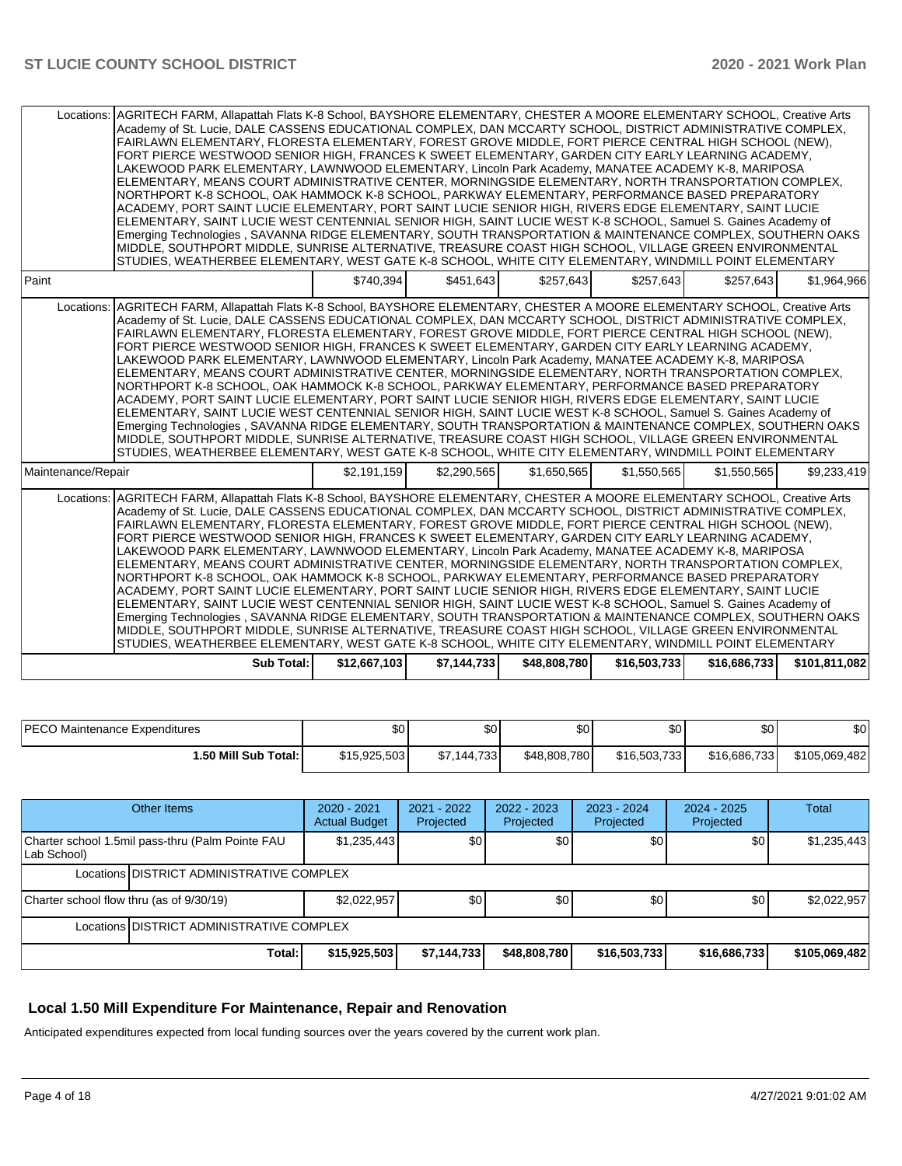| Locations: AGRITECH FARM, Allapattah Flats K-8 School, BAYSHORE ELEMENTARY, CHESTER A MOORE ELEMENTARY SCHOOL, Creative Arts<br>Academy of St. Lucie, DALE CASSENS EDUCATIONAL COMPLEX, DAN MCCARTY SCHOOL, DISTRICT ADMINISTRATIVE COMPLEX,<br>FAIRLAWN ELEMENTARY, FLORESTA ELEMENTARY, FOREST GROVE MIDDLE, FORT PIERCE CENTRAL HIGH SCHOOL (NEW),<br>FORT PIERCE WESTWOOD SENIOR HIGH, FRANCES K SWEET ELEMENTARY, GARDEN CITY EARLY LEARNING ACADEMY,<br>LAKEWOOD PARK ELEMENTARY, LAWNWOOD ELEMENTARY, Lincoln Park Academy, MANATEE ACADEMY K-8, MARIPOSA<br>ELEMENTARY, MEANS COURT ADMINISTRATIVE CENTER, MORNINGSIDE ELEMENTARY, NORTH TRANSPORTATION COMPLEX,<br>NORTHPORT K-8 SCHOOL, OAK HAMMOCK K-8 SCHOOL, PARKWAY ELEMENTARY, PERFORMANCE BASED PREPARATORY<br>ACADEMY, PORT SAINT LUCIE ELEMENTARY, PORT SAINT LUCIE SENIOR HIGH, RIVERS EDGE ELEMENTARY, SAINT LUCIE<br>ELEMENTARY, SAINT LUCIE WEST CENTENNIAL SENIOR HIGH, SAINT LUCIE WEST K-8 SCHOOL, Samuel S. Gaines Academy of<br>Emerging Technologies, SAVANNA RIDGE ELEMENTARY, SOUTH TRANSPORTATION & MAINTENANCE COMPLEX, SOUTHERN OAKS<br>MIDDLE, SOUTHPORT MIDDLE, SUNRISE ALTERNATIVE, TREASURE COAST HIGH SCHOOL, VILLAGE GREEN ENVIRONMENTAL<br>STUDIES, WEATHERBEE ELEMENTARY, WEST GATE K-8 SCHOOL, WHITE CITY ELEMENTARY, WINDMILL POINT ELEMENTARY |              |             |              |              |              |               |
|-------------------------------------------------------------------------------------------------------------------------------------------------------------------------------------------------------------------------------------------------------------------------------------------------------------------------------------------------------------------------------------------------------------------------------------------------------------------------------------------------------------------------------------------------------------------------------------------------------------------------------------------------------------------------------------------------------------------------------------------------------------------------------------------------------------------------------------------------------------------------------------------------------------------------------------------------------------------------------------------------------------------------------------------------------------------------------------------------------------------------------------------------------------------------------------------------------------------------------------------------------------------------------------------------------------------------------------------|--------------|-------------|--------------|--------------|--------------|---------------|
| Paint                                                                                                                                                                                                                                                                                                                                                                                                                                                                                                                                                                                                                                                                                                                                                                                                                                                                                                                                                                                                                                                                                                                                                                                                                                                                                                                                     | \$740.394    | \$451.643   | \$257.643    | \$257.643    | \$257.643    | \$1,964,966   |
| Locations: AGRITECH FARM, Allapattah Flats K-8 School, BAYSHORE ELEMENTARY, CHESTER A MOORE ELEMENTARY SCHOOL, Creative Arts<br>Academy of St. Lucie, DALE CASSENS EDUCATIONAL COMPLEX, DAN MCCARTY SCHOOL, DISTRICT ADMINISTRATIVE COMPLEX,<br>FAIRLAWN ELEMENTARY, FLORESTA ELEMENTARY, FOREST GROVE MIDDLE, FORT PIERCE CENTRAL HIGH SCHOOL (NEW),<br>FORT PIERCE WESTWOOD SENIOR HIGH, FRANCES K SWEET ELEMENTARY, GARDEN CITY EARLY LEARNING ACADEMY,<br>LAKEWOOD PARK ELEMENTARY, LAWNWOOD ELEMENTARY, Lincoln Park Academy, MANATEE ACADEMY K-8, MARIPOSA<br>ELEMENTARY, MEANS COURT ADMINISTRATIVE CENTER, MORNINGSIDE ELEMENTARY, NORTH TRANSPORTATION COMPLEX,<br>NORTHPORT K-8 SCHOOL, OAK HAMMOCK K-8 SCHOOL, PARKWAY ELEMENTARY, PERFORMANCE BASED PREPARATORY<br>ACADEMY, PORT SAINT LUCIE ELEMENTARY, PORT SAINT LUCIE SENIOR HIGH, RIVERS EDGE ELEMENTARY, SAINT LUCIE<br>ELEMENTARY, SAINT LUCIE WEST CENTENNIAL SENIOR HIGH, SAINT LUCIE WEST K-8 SCHOOL, Samuel S. Gaines Academy of<br>Emerging Technologies, SAVANNA RIDGE ELEMENTARY, SOUTH TRANSPORTATION & MAINTENANCE COMPLEX, SOUTHERN OAKS<br>MIDDLE, SOUTHPORT MIDDLE, SUNRISE ALTERNATIVE, TREASURE COAST HIGH SCHOOL, VILLAGE GREEN ENVIRONMENTAL<br>STUDIES, WEATHERBEE ELEMENTARY, WEST GATE K-8 SCHOOL, WHITE CITY ELEMENTARY, WINDMILL POINT ELEMENTARY |              |             |              |              |              |               |
| Maintenance/Repair                                                                                                                                                                                                                                                                                                                                                                                                                                                                                                                                                                                                                                                                                                                                                                                                                                                                                                                                                                                                                                                                                                                                                                                                                                                                                                                        | \$2,191,159  | \$2,290,565 | \$1,650,565  | \$1,550,565  | \$1,550,565  | \$9,233,419   |
| Locations: AGRITECH FARM, Allapattah Flats K-8 School, BAYSHORE ELEMENTARY, CHESTER A MOORE ELEMENTARY SCHOOL, Creative Arts<br>Academy of St. Lucie, DALE CASSENS EDUCATIONAL COMPLEX, DAN MCCARTY SCHOOL, DISTRICT ADMINISTRATIVE COMPLEX,<br>FAIRLAWN ELEMENTARY, FLORESTA ELEMENTARY, FOREST GROVE MIDDLE, FORT PIERCE CENTRAL HIGH SCHOOL (NEW),<br>FORT PIERCE WESTWOOD SENIOR HIGH, FRANCES K SWEET ELEMENTARY, GARDEN CITY EARLY LEARNING ACADEMY,<br>LAKEWOOD PARK ELEMENTARY, LAWNWOOD ELEMENTARY, Lincoln Park Academy, MANATEE ACADEMY K-8, MARIPOSA<br>ELEMENTARY, MEANS COURT ADMINISTRATIVE CENTER, MORNINGSIDE ELEMENTARY, NORTH TRANSPORTATION COMPLEX,<br>NORTHPORT K-8 SCHOOL, OAK HAMMOCK K-8 SCHOOL, PARKWAY ELEMENTARY, PERFORMANCE BASED PREPARATORY<br>ACADEMY, PORT SAINT LUCIE ELEMENTARY, PORT SAINT LUCIE SENIOR HIGH, RIVERS EDGE ELEMENTARY, SAINT LUCIE<br>ELEMENTARY, SAINT LUCIE WEST CENTENNIAL SENIOR HIGH, SAINT LUCIE WEST K-8 SCHOOL, Samuel S. Gaines Academy of<br>Emerging Technologies, SAVANNA RIDGE ELEMENTARY, SOUTH TRANSPORTATION & MAINTENANCE COMPLEX, SOUTHERN OAKS<br>MIDDLE, SOUTHPORT MIDDLE, SUNRISE ALTERNATIVE, TREASURE COAST HIGH SCHOOL, VILLAGE GREEN ENVIRONMENTAL<br>STUDIES, WEATHERBEE ELEMENTARY, WEST GATE K-8 SCHOOL, WHITE CITY ELEMENTARY, WINDMILL POINT ELEMENTARY |              |             |              |              |              |               |
| <b>Sub Total:</b>                                                                                                                                                                                                                                                                                                                                                                                                                                                                                                                                                                                                                                                                                                                                                                                                                                                                                                                                                                                                                                                                                                                                                                                                                                                                                                                         | \$12,667,103 | \$7,144,733 | \$48,808,780 | \$16,503,733 | \$16,686,733 | \$101,811,082 |

| <b>IPECO Maintenance Expenditures</b> | ا \$0        | ፍሰ<br>w                                      | \$0          | ሶሳ<br>ъu     | \$0          | \$0           |
|---------------------------------------|--------------|----------------------------------------------|--------------|--------------|--------------|---------------|
| 1.50 Mill Sub Total: İ                | \$15.925.503 | 144.733 <b>l</b><br>$A \rightarrow A$<br>J.I | \$48,808,780 | \$16,503,733 | \$16,686,733 | \$105.069.482 |

| Other Items                                                     |             | 2020 - 2021<br><b>Actual Budget</b> | 2021 - 2022<br>Projected | 2022 - 2023<br>Projected | 2023 - 2024<br>Projected | $2024 - 2025$<br>Projected | Total         |  |  |
|-----------------------------------------------------------------|-------------|-------------------------------------|--------------------------|--------------------------|--------------------------|----------------------------|---------------|--|--|
| Charter school 1.5mil pass-thru (Palm Pointe FAU<br>Lab School) | \$1,235,443 | \$0                                 | \$0                      | \$0                      | \$0 <sub>1</sub>         | \$1,235,443                |               |  |  |
| Locations IDISTRICT ADMINISTRATIVE COMPLEX                      |             |                                     |                          |                          |                          |                            |               |  |  |
| Charter school flow thru (as of 9/30/19)                        |             | \$2,022,957                         | \$0                      | \$0                      | \$0                      | \$0 <sub>1</sub>           | \$2,022,957   |  |  |
| Locations DISTRICT ADMINISTRATIVE COMPLEX                       |             |                                     |                          |                          |                          |                            |               |  |  |
|                                                                 | Total:      | \$15,925,503                        | \$7,144,733              | \$48,808,780             | \$16,503,733             | \$16,686,733               | \$105,069,482 |  |  |

## **Local 1.50 Mill Expenditure For Maintenance, Repair and Renovation**

Anticipated expenditures expected from local funding sources over the years covered by the current work plan.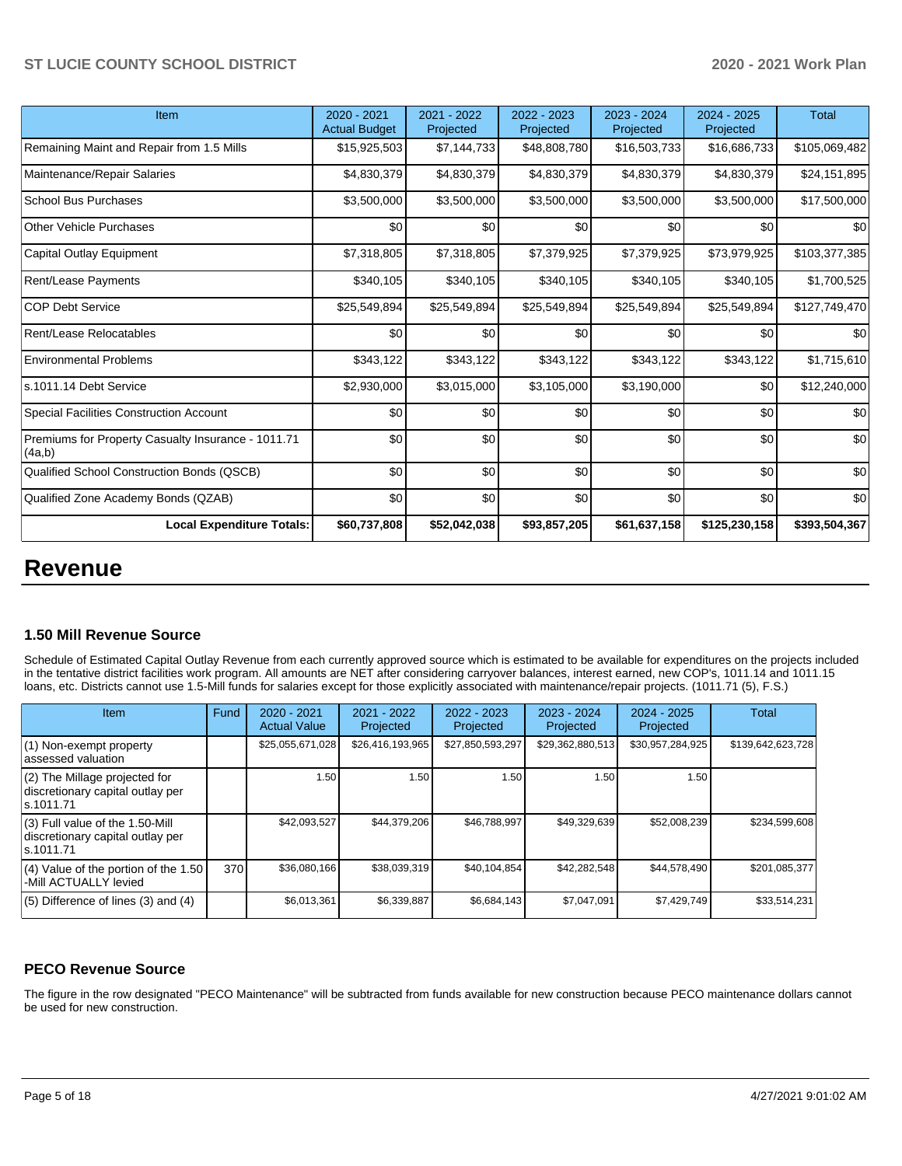| Item                                                         | 2020 - 2021<br><b>Actual Budget</b> | 2021 - 2022<br>Projected | 2022 - 2023<br>Projected | 2023 - 2024<br>Projected | 2024 - 2025<br>Projected | <b>Total</b>  |
|--------------------------------------------------------------|-------------------------------------|--------------------------|--------------------------|--------------------------|--------------------------|---------------|
| Remaining Maint and Repair from 1.5 Mills                    | \$15,925,503                        | \$7,144,733              | \$48,808,780             | \$16,503,733             | \$16,686,733             | \$105,069,482 |
| Maintenance/Repair Salaries                                  | \$4,830,379                         | \$4,830,379              | \$4,830,379              | \$4,830,379              | \$4,830,379              | \$24,151,895  |
| <b>School Bus Purchases</b>                                  | \$3,500,000                         | \$3,500,000              | \$3,500,000              | \$3,500,000              | \$3,500,000              | \$17,500,000  |
| <b>Other Vehicle Purchases</b>                               | \$0                                 | \$0                      | \$0                      | \$0                      | \$0                      | \$0           |
| Capital Outlay Equipment                                     | \$7,318,805                         | \$7,318,805              | \$7,379,925              | \$7,379,925              | \$73,979,925             | \$103,377,385 |
| <b>Rent/Lease Payments</b>                                   | \$340,105                           | \$340,105                | \$340,105                | \$340,105                | \$340,105                | \$1,700,525   |
| <b>COP Debt Service</b>                                      | \$25,549,894                        | \$25,549,894             | \$25,549,894             | \$25,549,894             | \$25,549,894             | \$127,749,470 |
| Rent/Lease Relocatables                                      | \$0                                 | \$0                      | \$0                      | \$0                      | \$0                      | \$0           |
| <b>Environmental Problems</b>                                | \$343,122                           | \$343,122                | \$343,122                | \$343,122                | \$343,122                | \$1,715,610   |
| ls.1011.14 Debt Service                                      | \$2,930,000                         | \$3,015,000              | \$3,105,000              | \$3,190,000              | \$0                      | \$12,240,000  |
| Special Facilities Construction Account                      | \$0                                 | \$0                      | \$0                      | \$0                      | \$0                      | \$0           |
| Premiums for Property Casualty Insurance - 1011.71<br>(4a,b) | \$0                                 | \$0                      | \$0                      | \$0                      | \$0                      | \$0           |
| Qualified School Construction Bonds (QSCB)                   | \$0                                 | \$0                      | \$0                      | \$0                      | \$0                      | \$0           |
| Qualified Zone Academy Bonds (QZAB)                          | \$0                                 | \$0                      | \$0                      | \$0                      | \$0                      | \$0           |
| <b>Local Expenditure Totals:</b>                             | \$60,737,808                        | \$52,042,038             | \$93,857,205             | \$61,637,158             | \$125,230,158            | \$393,504,367 |

## **Revenue**

#### **1.50 Mill Revenue Source**

Schedule of Estimated Capital Outlay Revenue from each currently approved source which is estimated to be available for expenditures on the projects included in the tentative district facilities work program. All amounts are NET after considering carryover balances, interest earned, new COP's, 1011.14 and 1011.15 loans, etc. Districts cannot use 1.5-Mill funds for salaries except for those explicitly associated with maintenance/repair projects. (1011.71 (5), F.S.)

| Item                                                                                | Fund | $2020 - 2021$<br><b>Actual Value</b> | $2021 - 2022$<br>Projected | $2022 - 2023$<br>Projected | $2023 - 2024$<br>Projected | $2024 - 2025$<br>Projected | Total             |
|-------------------------------------------------------------------------------------|------|--------------------------------------|----------------------------|----------------------------|----------------------------|----------------------------|-------------------|
| (1) Non-exempt property<br>lassessed valuation                                      |      | \$25,055,671,028                     | \$26,416,193,965           | \$27,850,593,297           | \$29,362,880,513           | \$30,957,284,925           | \$139,642,623,728 |
| $(2)$ The Millage projected for<br>discretionary capital outlay per<br>ls.1011.71   |      | 1.50                                 | 1.50                       | 1.50                       | 1.50                       | 1.50                       |                   |
| $(3)$ Full value of the 1.50-Mill<br>discretionary capital outlay per<br>ls.1011.71 |      | \$42,093,527                         | \$44.379.206               | \$46,788,997               | \$49,329,639               | \$52,008,239               | \$234.599.608     |
| $(4)$ Value of the portion of the 1.50<br>-Mill ACTUALLY levied                     | 370  | \$36,080,166                         | \$38,039,319               | \$40,104,854               | \$42,282,548               | \$44,578,490               | \$201,085,377     |
| $(5)$ Difference of lines (3) and (4)                                               |      | \$6,013,361                          | \$6,339,887                | \$6,684,143                | \$7,047,091                | \$7,429,749                | \$33,514,231      |

## **PECO Revenue Source**

The figure in the row designated "PECO Maintenance" will be subtracted from funds available for new construction because PECO maintenance dollars cannot be used for new construction.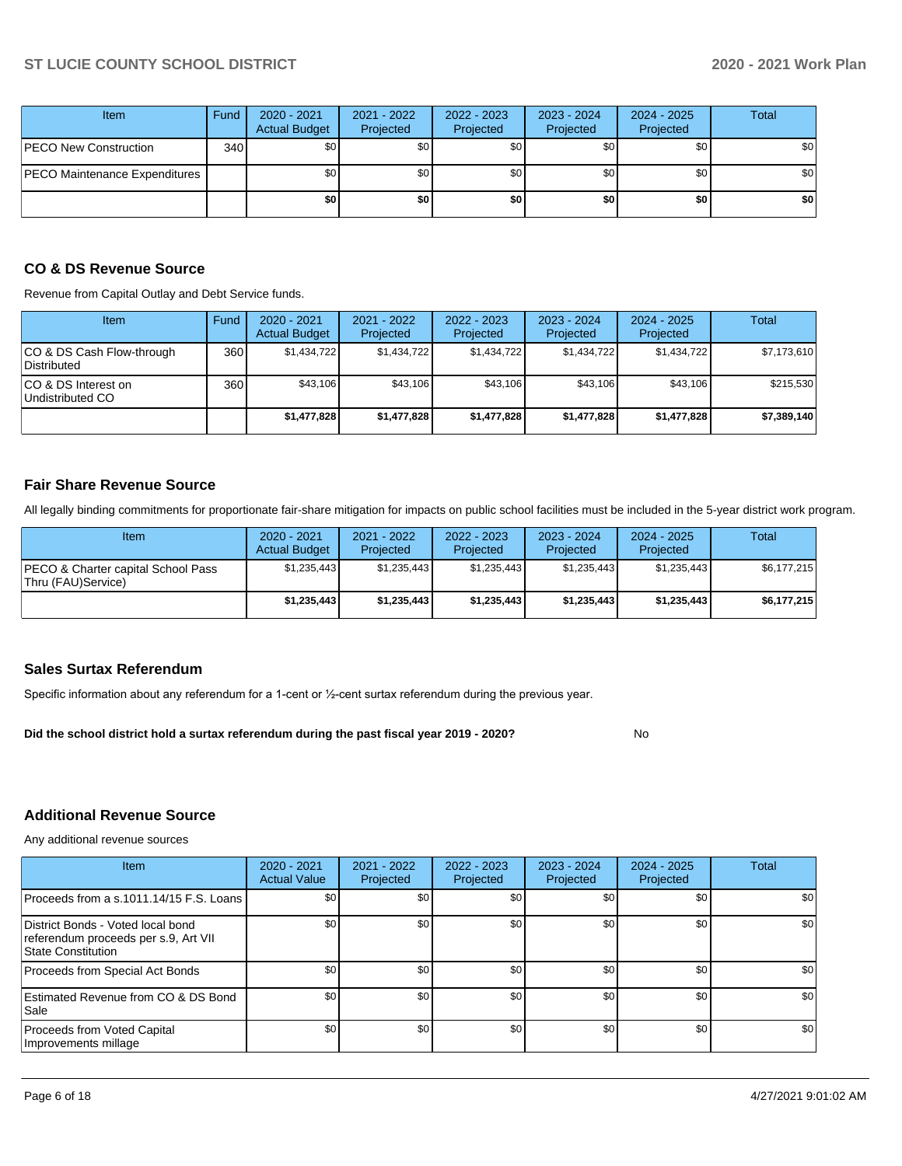| <b>Item</b>                          | Fund | $2020 - 2021$<br><b>Actual Budget</b> | 2021 - 2022<br>Projected | 2022 - 2023<br><b>Projected</b> | 2023 - 2024<br>Projected | 2024 - 2025<br>Projected | <b>Total</b> |
|--------------------------------------|------|---------------------------------------|--------------------------|---------------------------------|--------------------------|--------------------------|--------------|
| <b>PECO New Construction</b>         | 340  | \$0 <sub>1</sub>                      | \$0                      | \$0                             | \$0                      | \$0                      | \$0          |
| <b>PECO Maintenance Expenditures</b> |      | \$0 <sub>1</sub>                      | \$0                      | \$0                             | \$0                      | \$0 <sub>1</sub>         | \$0          |
|                                      |      | \$0                                   | \$0                      | \$0                             | \$0                      | \$0                      | \$0          |

#### **CO & DS Revenue Source**

Revenue from Capital Outlay and Debt Service funds.

| <b>Item</b>                               | Fund | $2020 - 2021$<br><b>Actual Budget</b> | 2021 - 2022<br>Projected | $2022 - 2023$<br>Projected | $2023 - 2024$<br>Projected | $2024 - 2025$<br>Projected | Total       |
|-------------------------------------------|------|---------------------------------------|--------------------------|----------------------------|----------------------------|----------------------------|-------------|
| ICO & DS Cash Flow-through<br>Distributed | 360  | \$1.434.722                           | \$1.434.722              | \$1.434.722                | \$1.434.722                | \$1.434.722                | \$7,173,610 |
| ICO & DS Interest on<br>Undistributed CO  | 360  | \$43.106                              | \$43.106                 | \$43.106                   | \$43.106                   | \$43.106                   | \$215,530   |
|                                           |      | \$1,477,828                           | \$1,477,828              | \$1,477,828                | \$1,477,828                | \$1,477,828                | \$7,389,140 |

#### **Fair Share Revenue Source**

All legally binding commitments for proportionate fair-share mitigation for impacts on public school facilities must be included in the 5-year district work program.

| Item                                                     | $2020 - 2021$<br><b>Actual Budget</b> | 2021 - 2022<br>Projected | 2022 - 2023<br>Projected | 2023 - 2024<br>Projected | 2024 - 2025<br>Projected | Total       |
|----------------------------------------------------------|---------------------------------------|--------------------------|--------------------------|--------------------------|--------------------------|-------------|
| PECO & Charter capital School Pass<br>Thru (FAU)Service) | \$1,235,443                           | \$1,235,443              | \$1.235.443              | \$1,235,443              | \$1,235,443              | \$6,177,215 |
|                                                          | \$1,235,443                           | \$1,235,443              | \$1,235,443              | \$1,235,443              | \$1,235,443              | \$6,177,215 |

#### **Sales Surtax Referendum**

Specific information about any referendum for a 1-cent or ½-cent surtax referendum during the previous year.

**Did the school district hold a surtax referendum during the past fiscal year 2019 - 2020?**

No

## **Additional Revenue Source**

Any additional revenue sources

| Item                                                                                            | 2020 - 2021<br><b>Actual Value</b> | $2021 - 2022$<br>Projected | 2022 - 2023<br>Projected | $2023 - 2024$<br>Projected | 2024 - 2025<br>Projected | <b>Total</b>     |
|-------------------------------------------------------------------------------------------------|------------------------------------|----------------------------|--------------------------|----------------------------|--------------------------|------------------|
| Proceeds from a s.1011.14/15 F.S. Loans                                                         | \$0                                | <b>SO</b>                  | \$0                      | \$0                        | \$0                      | \$0              |
| District Bonds - Voted local bond<br>referendum proceeds per s.9, Art VII<br>State Constitution | \$0                                | \$0 <sub>1</sub>           | \$0 <sub>1</sub>         | \$0                        | \$0                      | \$0              |
| Proceeds from Special Act Bonds                                                                 | \$0                                | \$0                        | \$0                      | \$0                        | \$0                      | \$0              |
| Estimated Revenue from CO & DS Bond<br>l Sale                                                   | \$0                                | \$0                        | \$0                      | \$0                        | \$0                      | \$0 <sub>1</sub> |
| Proceeds from Voted Capital<br>Improvements millage                                             | \$0                                | \$0                        | \$0                      | \$0                        | \$0                      | \$0 <sub>1</sub> |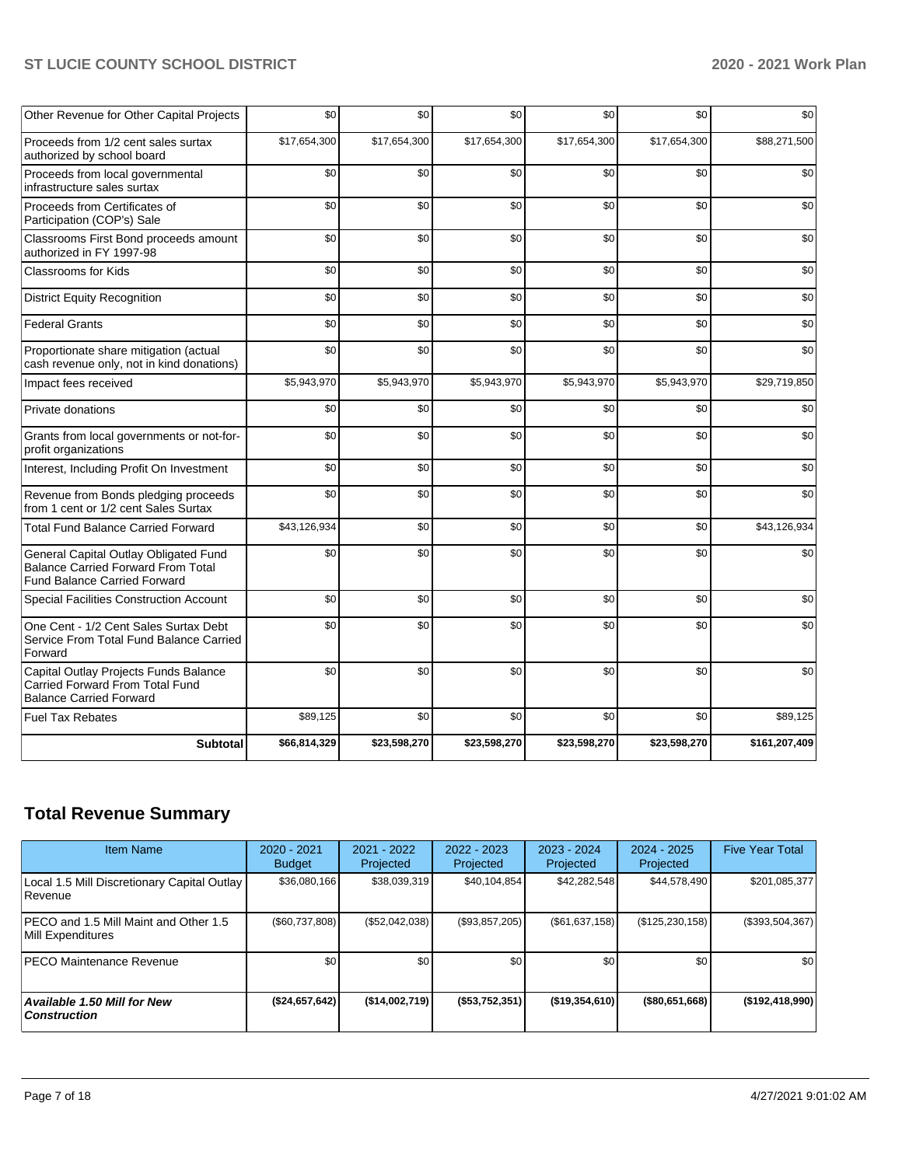| Other Revenue for Other Capital Projects                                                                                  | \$0          | \$0          | \$0          | \$0          | \$0          | \$0           |
|---------------------------------------------------------------------------------------------------------------------------|--------------|--------------|--------------|--------------|--------------|---------------|
| Proceeds from 1/2 cent sales surtax<br>authorized by school board                                                         | \$17,654,300 | \$17,654,300 | \$17,654,300 | \$17,654,300 | \$17,654,300 | \$88,271,500  |
| Proceeds from local governmental<br>infrastructure sales surtax                                                           | \$0          | \$0          | \$0          | \$0          | \$0          | \$0           |
| Proceeds from Certificates of<br>Participation (COP's) Sale                                                               | \$0          | \$0          | \$0          | \$0          | \$0          | \$0           |
| Classrooms First Bond proceeds amount<br>authorized in FY 1997-98                                                         | \$0          | \$0          | \$0          | \$0          | \$0          | \$0           |
| Classrooms for Kids                                                                                                       | \$0          | \$0          | \$0          | \$0          | \$0          | \$0           |
| <b>District Equity Recognition</b>                                                                                        | \$0          | \$0          | \$0          | \$0          | \$0          | \$0           |
| <b>Federal Grants</b>                                                                                                     | \$0          | \$0          | \$0          | \$0          | \$0          | \$0           |
| Proportionate share mitigation (actual<br>cash revenue only, not in kind donations)                                       | \$0          | \$0          | \$0          | \$0          | \$0          | \$0           |
| Impact fees received                                                                                                      | \$5,943,970  | \$5,943,970  | \$5,943,970  | \$5,943,970  | \$5,943,970  | \$29,719,850  |
| Private donations                                                                                                         | \$0          | \$0          | \$0          | \$0          | \$0          | \$0           |
| Grants from local governments or not-for-<br>profit organizations                                                         | \$0          | \$0          | \$0          | \$0          | \$0          | \$0           |
| Interest, Including Profit On Investment                                                                                  | \$0          | \$0          | \$0          | \$0          | \$0          | \$0           |
| Revenue from Bonds pledging proceeds<br>from 1 cent or 1/2 cent Sales Surtax                                              | \$0          | \$0          | \$0          | \$0          | \$0          | \$0           |
| <b>Total Fund Balance Carried Forward</b>                                                                                 | \$43,126,934 | \$0          | \$0          | \$0          | \$0          | \$43,126,934  |
| General Capital Outlay Obligated Fund<br><b>Balance Carried Forward From Total</b><br><b>Fund Balance Carried Forward</b> | \$0          | \$0          | \$0          | \$0          | \$0          | \$0           |
| Special Facilities Construction Account                                                                                   | \$0          | \$0          | \$0          | \$0          | \$0          | \$0           |
| One Cent - 1/2 Cent Sales Surtax Debt<br>Service From Total Fund Balance Carried<br>Forward                               | \$0          | \$0          | \$0          | \$0          | \$0          | \$0           |
| Capital Outlay Projects Funds Balance<br>Carried Forward From Total Fund<br><b>Balance Carried Forward</b>                | \$0          | \$0          | \$0          | \$0          | \$0          | \$0           |
| <b>Fuel Tax Rebates</b>                                                                                                   | \$89,125     | \$0          | \$0          | \$0          | \$0          | \$89,125      |
| <b>Subtotal</b>                                                                                                           | \$66,814,329 | \$23,598,270 | \$23,598,270 | \$23,598,270 | \$23,598,270 | \$161,207,409 |

## **Total Revenue Summary**

| <b>Item Name</b>                                              | $2020 - 2021$<br><b>Budget</b> | 2021 - 2022<br>Projected | 2022 - 2023<br>Projected | $2023 - 2024$<br>Projected | $2024 - 2025$<br>Projected | <b>Five Year Total</b> |
|---------------------------------------------------------------|--------------------------------|--------------------------|--------------------------|----------------------------|----------------------------|------------------------|
| Local 1.5 Mill Discretionary Capital Outlay<br><b>Revenue</b> | \$36,080,166                   | \$38,039,319             | \$40,104,854             | \$42,282,548               | \$44,578,490               | \$201,085,377          |
| PECO and 1.5 Mill Maint and Other 1.5<br>Mill Expenditures    | (\$60,737,808)                 | (\$52,042,038)           | (\$93,857,205)           | (\$61,637,158)             | (\$125, 230, 158)          | $(\$393,504,367)$      |
| <b>PECO Maintenance Revenue</b>                               | \$0                            | \$0 <sub>1</sub>         | \$0                      | \$0                        | \$0                        | \$0                    |
| Available 1.50 Mill for New<br>  Construction                 | (\$24,657,642)                 | (\$14,002,719)           | (\$53,752,351)           | ( \$19, 354, 610)          | $($ \$80,651,668)          | ( \$192, 418, 990)     |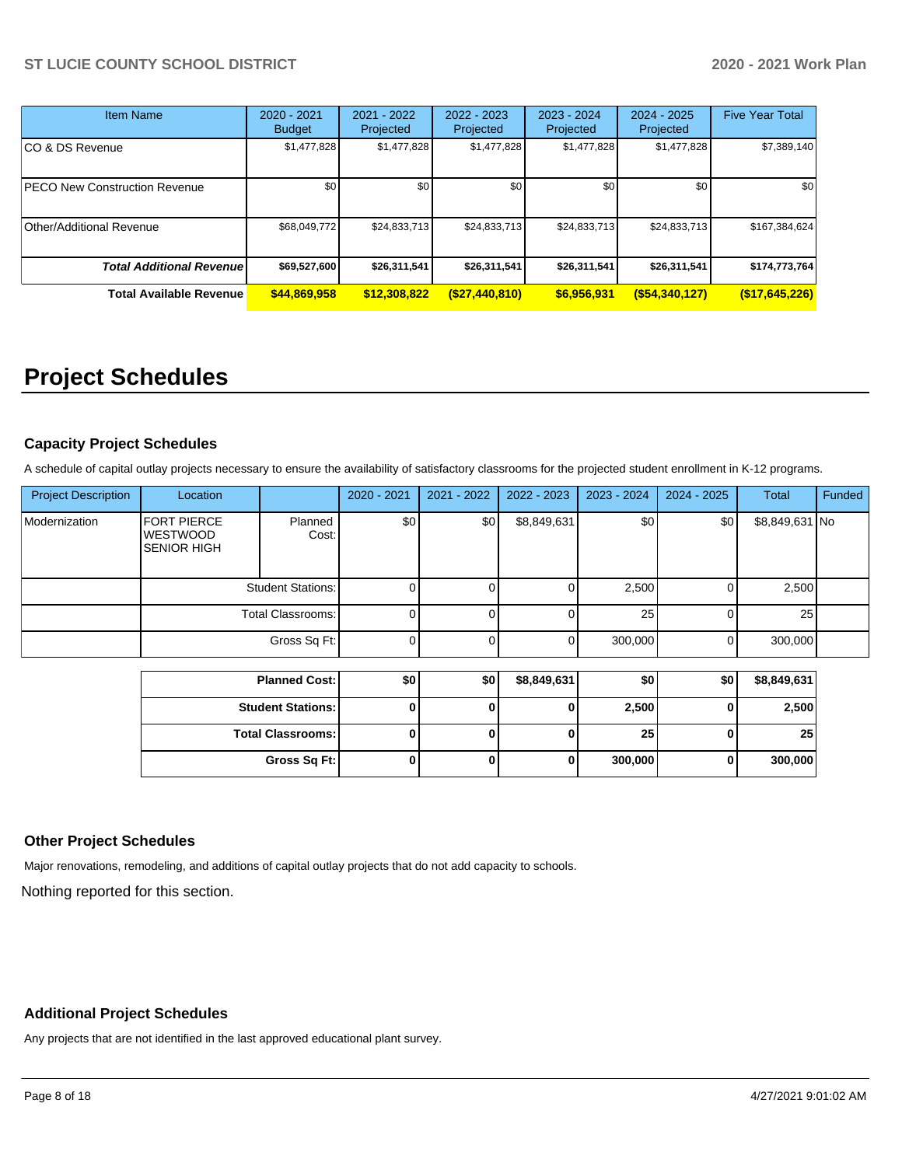| <b>Item Name</b>                     | 2020 - 2021<br><b>Budget</b> | $2021 - 2022$<br>Projected | 2022 - 2023<br>Projected | $2023 - 2024$<br>Projected | $2024 - 2025$<br>Projected | <b>Five Year Total</b> |
|--------------------------------------|------------------------------|----------------------------|--------------------------|----------------------------|----------------------------|------------------------|
| CO & DS Revenue                      | \$1,477,828                  | \$1,477,828                | \$1,477,828              | \$1,477,828                | \$1,477,828                | \$7,389,140            |
| <b>PECO New Construction Revenue</b> | \$0                          | \$0                        | \$0                      | \$0                        | \$0                        | \$0                    |
| Other/Additional Revenue             | \$68,049,772                 | \$24,833,713               | \$24,833,713             | \$24,833,713               | \$24,833,713               | \$167,384,624          |
| <b>Total Additional Revenuel</b>     | \$69,527,600                 | \$26,311,541               | \$26,311,541             | \$26,311,541               | \$26,311,541               | \$174,773,764          |
| <b>Total Available Revenue</b>       | \$44,869,958                 | \$12,308,822               | $($ \$27,440,810)        | \$6,956,931                | $($ \$54,340,127)          | (\$17,645,226)         |

# **Project Schedules**

## **Capacity Project Schedules**

A schedule of capital outlay projects necessary to ensure the availability of satisfactory classrooms for the projected student enrollment in K-12 programs.

| <b>Project Description</b> | Location                                                    |                          | 2020 - 2021 | $2021 - 2022$ | 2022 - 2023 | 2023 - 2024 | 2024 - 2025 | <b>Total</b>   | Funded |
|----------------------------|-------------------------------------------------------------|--------------------------|-------------|---------------|-------------|-------------|-------------|----------------|--------|
| Modernization              | <b>FORT PIERCE</b><br><b>WESTWOOD</b><br><b>SENIOR HIGH</b> | Planned<br>Cost:         | \$0         | \$0           | \$8,849,631 | \$0         | \$0         | \$8,849,631 No |        |
|                            |                                                             | <b>Student Stations:</b> | 0           |               |             | 2,500       |             | 2,500          |        |
|                            | <b>Total Classrooms:</b>                                    |                          |             |               |             | 25          |             | 25             |        |
|                            | Gross Sq Ft:                                                |                          | $\Omega$    |               |             | 300,000     | 0           | 300,000        |        |
|                            |                                                             |                          |             |               |             |             |             |                |        |
|                            |                                                             | <b>Planned Cost:</b>     | \$0         | \$0           | \$8,849,631 | \$0         | \$0         | \$8,849,631    |        |
|                            |                                                             | <b>Student Stations:</b> | 0           |               |             | 2,500       | 0           | 2,500          |        |
|                            |                                                             | <b>Total Classrooms:</b> | 0           |               |             | 25          | 0           | 25             |        |

**Gross Sq Ft: 0 0 0 300,000 0 300,000**

## **Other Project Schedules**

Major renovations, remodeling, and additions of capital outlay projects that do not add capacity to schools.

Nothing reported for this section.

## **Additional Project Schedules**

Any projects that are not identified in the last approved educational plant survey.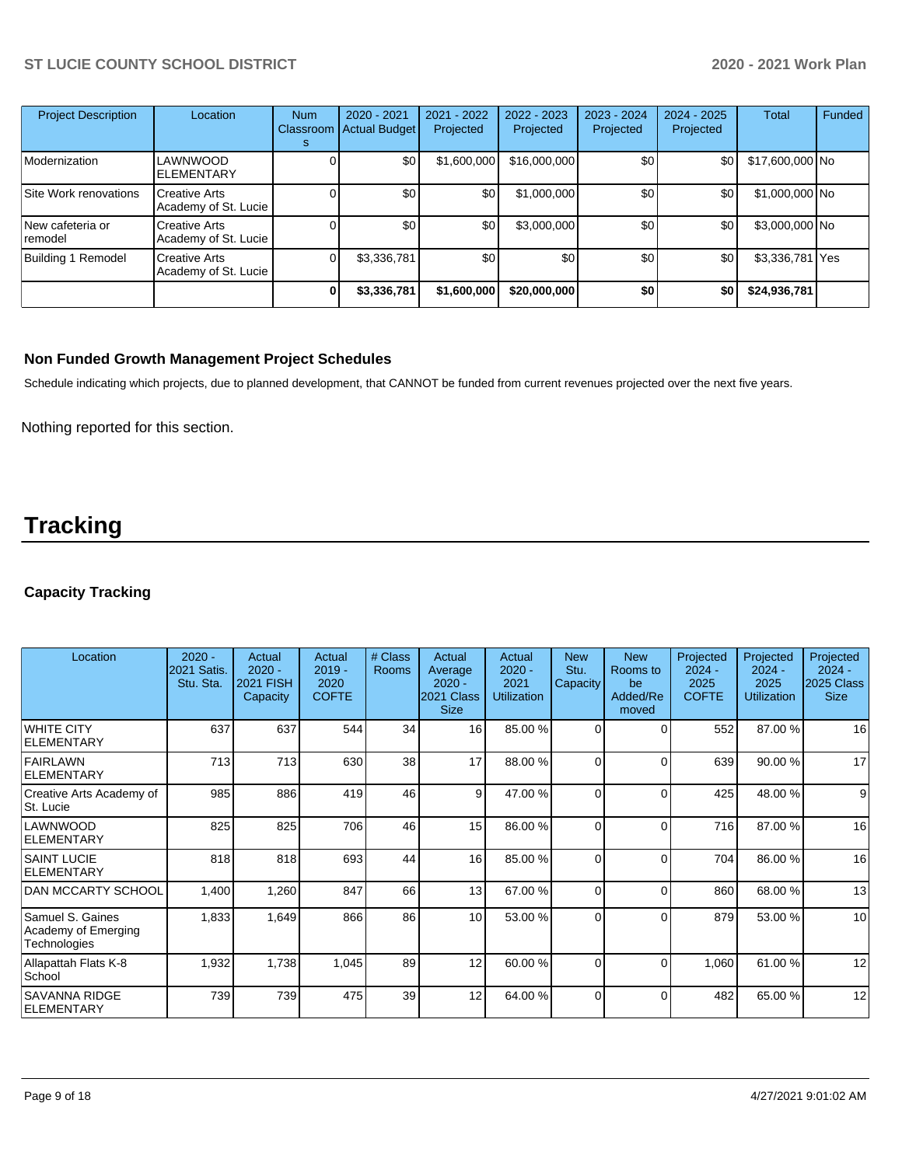| <b>Project Description</b>  | Location                                     | <b>Num</b><br>Classroom<br>s | 2020 - 2021<br><b>Actual Budget</b> | 2021 - 2022<br>Projected | 2022 - 2023<br>Projected | 2023 - 2024<br>Projected | $2024 - 2025$<br>Projected | <b>Total</b>    | Funded |
|-----------------------------|----------------------------------------------|------------------------------|-------------------------------------|--------------------------|--------------------------|--------------------------|----------------------------|-----------------|--------|
| Modernization               | LAWNWOOD<br><b>ELEMENTARY</b>                |                              | \$0                                 | \$1,600,000              | \$16,000,000             | \$0                      | \$0                        | \$17,600,000 No |        |
| Site Work renovations       | Creative Arts<br>Academy of St. Lucie        |                              | \$0                                 | \$0                      | \$1,000,000              | \$0                      | \$0                        | \$1,000,000 No  |        |
| New cafeteria or<br>remodel | <b>Creative Arts</b><br>Academy of St. Lucie |                              | \$0                                 | \$0                      | \$3,000,000              | \$0                      | \$0                        | \$3,000,000 No  |        |
| Building 1 Remodel          | <b>Creative Arts</b><br>Academy of St. Lucie |                              | \$3,336,781                         | \$0                      | \$0                      | \$0                      | \$0                        | \$3,336,781 Yes |        |
|                             |                                              |                              | \$3,336,781                         | \$1,600,000              | \$20,000,000             | \$0                      | \$0                        | \$24,936,781    |        |

### **Non Funded Growth Management Project Schedules**

Schedule indicating which projects, due to planned development, that CANNOT be funded from current revenues projected over the next five years.

Nothing reported for this section.

# **Tracking**

## **Capacity Tracking**

| Location                                                | $2020 -$<br>2021 Satis.<br>Stu. Sta. | Actual<br>$2020 -$<br><b>2021 FISH</b><br>Capacity | Actual<br>$2019 -$<br>2020<br><b>COFTE</b> | # Class<br>Rooms | Actual<br>Average<br>$2020 -$<br>2021 Class<br><b>Size</b> | Actual<br>$2020 -$<br>2021<br><b>Utilization</b> | <b>New</b><br>Stu.<br>Capacity | <b>New</b><br>Rooms to<br>be<br>Added/Re<br>moved | Projected<br>$2024 -$<br>2025<br><b>COFTE</b> | Projected<br>$2024 -$<br>2025<br><b>Utilization</b> | Projected<br>$2024 -$<br>2025 Class<br><b>Size</b> |
|---------------------------------------------------------|--------------------------------------|----------------------------------------------------|--------------------------------------------|------------------|------------------------------------------------------------|--------------------------------------------------|--------------------------------|---------------------------------------------------|-----------------------------------------------|-----------------------------------------------------|----------------------------------------------------|
| <b>WHITE CITY</b><br>IELEMENTARY                        | 637                                  | 637                                                | 544                                        | 34               | 16                                                         | 85.00 %                                          | $\Omega$                       | ſ                                                 | 552                                           | 87.00 %                                             | 16                                                 |
| FAIRLAWN<br>ELEMENTARY                                  | 713                                  | 713                                                | 630                                        | 38               | 17                                                         | 88.00 %                                          | $\Omega$                       | ſ                                                 | 639                                           | 90.00 %                                             | 17                                                 |
| Creative Arts Academy of<br>St. Lucie                   | 985                                  | 886                                                | 419                                        | 46               | 9                                                          | 47.00 %                                          | $\Omega$                       | $\Omega$                                          | 425                                           | 48.00 %                                             | 9                                                  |
| LAWNWOOD<br>ELEMENTARY                                  | 825                                  | 825                                                | 706                                        | 46               | 15                                                         | 86.00 %                                          | $\Omega$                       | $\Omega$                                          | 716                                           | 87.00 %                                             | 16                                                 |
| <b>SAINT LUCIE</b><br>ELEMENTARY                        | 818                                  | 818                                                | 693                                        | 44               | 16                                                         | 85.00 %                                          | $\Omega$                       | $\Omega$                                          | 704                                           | 86.00 %                                             | 16                                                 |
| <b>DAN MCCARTY SCHOOL</b>                               | 1,400                                | 1,260                                              | 847                                        | 66               | 13                                                         | 67.00 %                                          | $\Omega$                       | C                                                 | 860                                           | 68.00 %                                             | 13                                                 |
| Samuel S. Gaines<br>Academy of Emerging<br>Technologies | 1,833                                | 1,649                                              | 866                                        | 86               | 10                                                         | 53.00 %                                          | 0                              | $\Omega$                                          | 879                                           | 53.00 %                                             | 10                                                 |
| Allapattah Flats K-8<br>School                          | 1,932                                | 1,738                                              | 1,045                                      | 89               | 12                                                         | 60.00 %                                          | $\Omega$                       | $\Omega$                                          | 1,060                                         | 61.00 %                                             | 12                                                 |
| <b>SAVANNA RIDGE</b><br><b>ELEMENTARY</b>               | 739                                  | 739                                                | 475                                        | 39               | 12                                                         | 64.00 %                                          | $\Omega$                       | $\Omega$                                          | 482                                           | 65.00 %                                             | 12                                                 |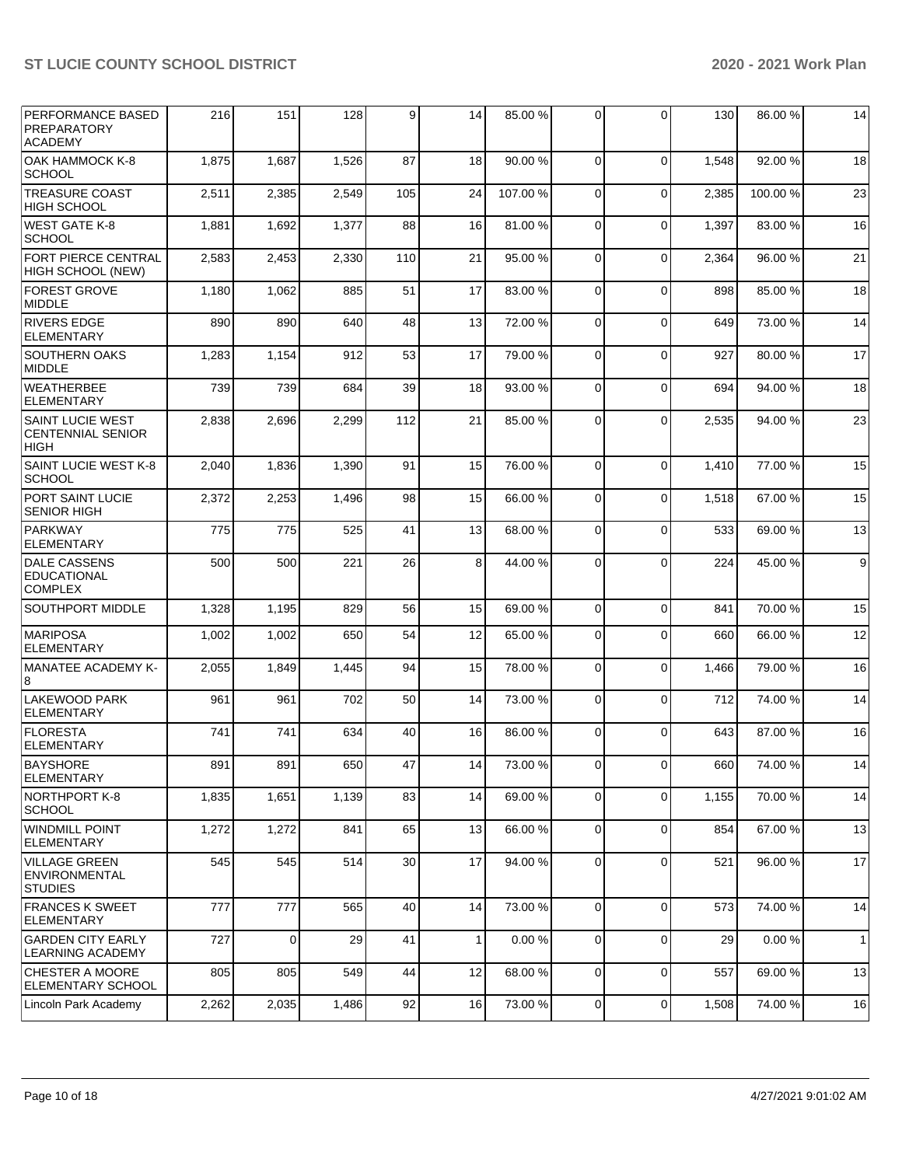| PERFORMANCE BASED<br><b>PREPARATORY</b><br><b>ACADEMY</b>          | 216   | 151   | 128   | 9   | 14           | 85.00 % | $\overline{0}$ | $\Omega$       | 130   | 86.00 % | 14           |
|--------------------------------------------------------------------|-------|-------|-------|-----|--------------|---------|----------------|----------------|-------|---------|--------------|
| ОАК НАММОСК К-8<br>SCHOOL                                          | 1,875 | 1,687 | 1,526 | 87  | 18           | 90.00 % | $\Omega$       | $\Omega$       | 1,548 | 92.00 % | 18           |
| <b>TREASURE COAST</b><br><b>HIGH SCHOOL</b>                        | 2,511 | 2,385 | 2,549 | 105 | 24           | 107.00% | $\mathbf 0$    | $\Omega$       | 2,385 | 100.00% | 23           |
| <b>WEST GATE K-8</b><br><b>SCHOOL</b>                              | 1,881 | 1,692 | 1,377 | 88  | 16           | 81.00%  | $\mathbf 0$    | $\Omega$       | 1,397 | 83.00 % | 16           |
| FORT PIERCE CENTRAL<br>HIGH SCHOOL (NEW)                           | 2,583 | 2,453 | 2,330 | 110 | 21           | 95.00 % | $\mathbf 0$    | $\Omega$       | 2,364 | 96.00 % | 21           |
| <b>FOREST GROVE</b><br><b>MIDDLE</b>                               | 1,180 | 1,062 | 885   | 51  | 17           | 83.00 % | $\mathbf 0$    | $\Omega$       | 898   | 85.00 % | 18           |
| <b>RIVERS EDGE</b><br>ELEMENTARY                                   | 890   | 890   | 640   | 48  | 13           | 72.00 % | $\mathbf 0$    | $\Omega$       | 649   | 73.00 % | 14           |
| <b>SOUTHERN OAKS</b><br>MIDDLE                                     | 1,283 | 1,154 | 912   | 53  | 17           | 79.00 % | $\mathbf 0$    | $\Omega$       | 927   | 80.00%  | 17           |
| <b>WEATHERBEE</b><br><b>ELEMENTARY</b>                             | 739   | 739   | 684   | 39  | 18           | 93.00 % | $\mathbf 0$    | $\Omega$       | 694   | 94.00 % | 18           |
| <b>SAINT LUCIE WEST</b><br><b>CENTENNIAL SENIOR</b><br><b>HIGH</b> | 2,838 | 2,696 | 2,299 | 112 | 21           | 85.00 % | 0              | $\Omega$       | 2,535 | 94.00 % | 23           |
| SAINT LUCIE WEST K-8<br><b>SCHOOL</b>                              | 2,040 | 1,836 | 1,390 | 91  | 15           | 76.00 % | $\mathbf 0$    | $\Omega$       | 1,410 | 77.00 % | 15           |
| PORT SAINT LUCIE<br><b>SENIOR HIGH</b>                             | 2,372 | 2,253 | 1,496 | 98  | 15           | 66.00 % | 0              | $\Omega$       | 1,518 | 67.00 % | 15           |
| <b>PARKWAY</b><br><b>ELEMENTARY</b>                                | 775   | 775   | 525   | 41  | 13           | 68.00 % | 0              | $\Omega$       | 533   | 69.00 % | 13           |
| <b>DALE CASSENS</b><br><b>EDUCATIONAL</b><br><b>COMPLEX</b>        | 500   | 500   | 221   | 26  | 8            | 44.00 % | 0              | $\Omega$       | 224   | 45.00 % | 9            |
| SOUTHPORT MIDDLE                                                   | 1,328 | 1,195 | 829   | 56  | 15           | 69.00 % | $\mathbf 0$    | $\Omega$       | 841   | 70.00 % | 15           |
| MARIPOSA<br><b>ELEMENTARY</b>                                      | 1,002 | 1,002 | 650   | 54  | 12           | 65.00 % | $\mathbf 0$    | $\Omega$       | 660   | 66.00 % | 12           |
| MANATEE ACADEMY K-<br>8                                            | 2,055 | 1,849 | 1,445 | 94  | 15           | 78.00 % | $\mathbf 0$    | $\Omega$       | 1,466 | 79.00 % | 16           |
| LAKEWOOD PARK<br><b>ELEMENTARY</b>                                 | 961   | 961   | 702   | 50  | 14           | 73.00 % | $\mathbf 0$    | $\Omega$       | 712   | 74.00 % | 14           |
| FLORESTA<br>ELEMENTARY                                             | 741   | 741   | 634   | 40  | 16           | 86.00 % | $\mathbf 0$    | $\Omega$       | 643   | 87.00 % | 16           |
| BAYSHORE<br>ELEMENTARY                                             | 891   | 891   | 650   | 47  | 14           | 73.00 % | $\Omega$       | $\Omega$       | 660   | 74.00 % | 14           |
| NORTHPORT K-8<br> SCHOOL                                           | 1,835 | 1,651 | 1,139 | 83  | 14           | 69.00 % | 0              | $\Omega$       | 1,155 | 70.00%  | 14           |
| <b>WINDMILL POINT</b><br>ELEMENTARY                                | 1,272 | 1,272 | 841   | 65  | 13           | 66.00 % | 0              | $\Omega$       | 854   | 67.00 % | 13           |
| VILLAGE GREEN<br><b>ENVIRONMENTAL</b><br><b>STUDIES</b>            | 545   | 545   | 514   | 30  | 17           | 94.00 % | $\mathbf{0}$   | $\mathbf 0$    | 521   | 96.00 % | 17           |
| <b>FRANCES K SWEET</b><br>ELEMENTARY                               | 777   | 777   | 565   | 40  | 14           | 73.00 % | $\mathbf 0$    | $\Omega$       | 573   | 74.00%  | 14           |
| <b>GARDEN CITY EARLY</b><br><b>LEARNING ACADEMY</b>                | 727   | 0     | 29    | 41  | $\mathbf{1}$ | 0.00%   | 0              | $\Omega$       | 29    | 0.00%   | $\mathbf{1}$ |
| <b>CHESTER A MOORE</b><br>ELEMENTARY SCHOOL                        | 805   | 805   | 549   | 44  | 12           | 68.00 % | $\mathbf{0}$   | $\mathbf 0$    | 557   | 69.00 % | 13           |
| Lincoln Park Academy                                               | 2,262 | 2,035 | 1,486 | 92  | 16           | 73.00 % | $\mathbf 0$    | $\overline{0}$ | 1,508 | 74.00 % | 16           |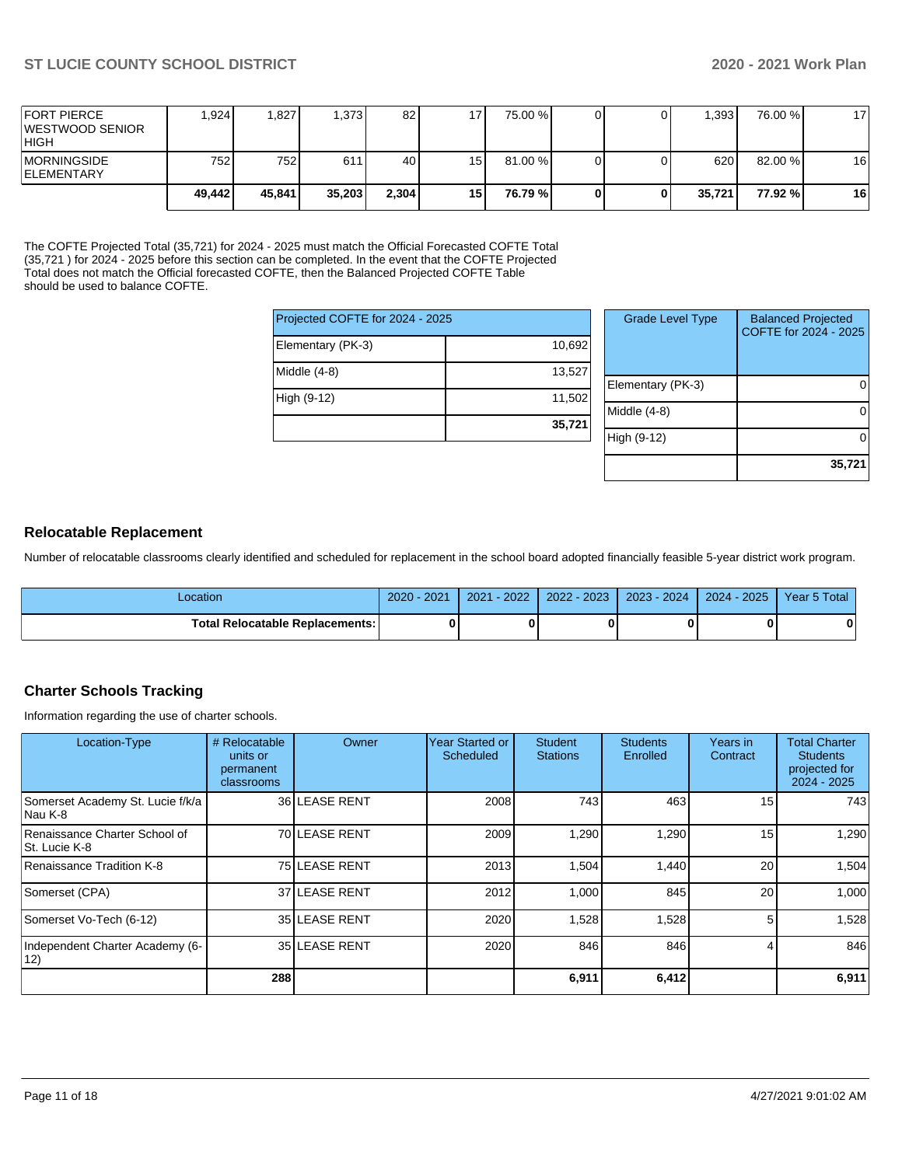| <b>IFORT PIERCE</b><br><b>IWESTWOOD SENIOR</b><br> HIGH | .924   | 1.827  | 1.373  | 82    | 17 <sub>1</sub> | 75.00 % |  | .393   | 76.00 % | 17 |
|---------------------------------------------------------|--------|--------|--------|-------|-----------------|---------|--|--------|---------|----|
| <b>IMORNINGSIDE</b><br><b>IELEMENTARY</b>               | 752 l  | 7521   | 611    | 40 l  | 15 <sup>1</sup> | 81.00 % |  | 620    | 82.00 % | 16 |
|                                                         | 49,442 | 45.841 | 35.203 | 2,304 | 15              | 76.79 % |  | 35.721 | 77.92 % | 16 |

The COFTE Projected Total (35,721) for 2024 - 2025 must match the Official Forecasted COFTE Total (35,721 ) for 2024 - 2025 before this section can be completed. In the event that the COFTE Projected Total does not match the Official forecasted COFTE, then the Balanced Projected COFTE Table should be used to balance COFTE.

| Projected COFTE for 2024 - 2025 |        |
|---------------------------------|--------|
| Elementary (PK-3)               | 10,692 |
| Middle (4-8)                    | 13,527 |
| High (9-12)                     | 11,502 |
|                                 | 35,721 |

| <b>Grade Level Type</b> | <b>Balanced Projected</b><br>COFTE for 2024 - 2025 |
|-------------------------|----------------------------------------------------|
| Elementary (PK-3)       |                                                    |
| Middle $(4-8)$          |                                                    |
| High (9-12)             |                                                    |
|                         | 35,721                                             |

## **Relocatable Replacement**

Number of relocatable classrooms clearly identified and scheduled for replacement in the school board adopted financially feasible 5-year district work program.

| _ocation                          | 2021<br>$2020 -$ | 2022<br>2021 | $2022 - 2023$ | 2023 - 2024 | $2024 - 2025$ | Year 5 Total |
|-----------------------------------|------------------|--------------|---------------|-------------|---------------|--------------|
| Total Relocatable Replacements: I |                  |              |               |             |               | n            |

## **Charter Schools Tracking**

Information regarding the use of charter schools.

| Location-Type                                  | # Relocatable<br>units or<br>permanent<br>classrooms | <b>Owner</b>  | Year Started or<br><b>Scheduled</b> | <b>Student</b><br><b>Stations</b> | <b>Students</b><br>Enrolled | Years in<br>Contract | <b>Total Charter</b><br><b>Students</b><br>projected for<br>$2024 - 2025$ |
|------------------------------------------------|------------------------------------------------------|---------------|-------------------------------------|-----------------------------------|-----------------------------|----------------------|---------------------------------------------------------------------------|
| Somerset Academy St. Lucie f/k/a<br>Nau K-8    |                                                      | 36 LEASE RENT | 2008                                | 743                               | 463                         | 15                   | 743                                                                       |
| Renaissance Charter School of<br>St. Lucie K-8 |                                                      | 70 LEASE RENT | 2009                                | 1,290                             | 1,290                       | 15                   | 1,290                                                                     |
| Renaissance Tradition K-8                      |                                                      | 75 LEASE RENT | 2013                                | 1,504                             | 1,440                       | 20                   | 1,504                                                                     |
| Somerset (CPA)                                 |                                                      | 37 LEASE RENT | 2012                                | 1.000                             | 845                         | 20                   | 1,000                                                                     |
| Somerset Vo-Tech (6-12)                        |                                                      | 35 LEASE RENT | 2020                                | 1,528                             | 1,528                       |                      | 1,528                                                                     |
| Independent Charter Academy (6-<br>12)         |                                                      | 35 LEASE RENT | 2020                                | 846                               | 846                         |                      | 846                                                                       |
|                                                | 288                                                  |               |                                     | 6,911                             | 6,412                       |                      | 6,911                                                                     |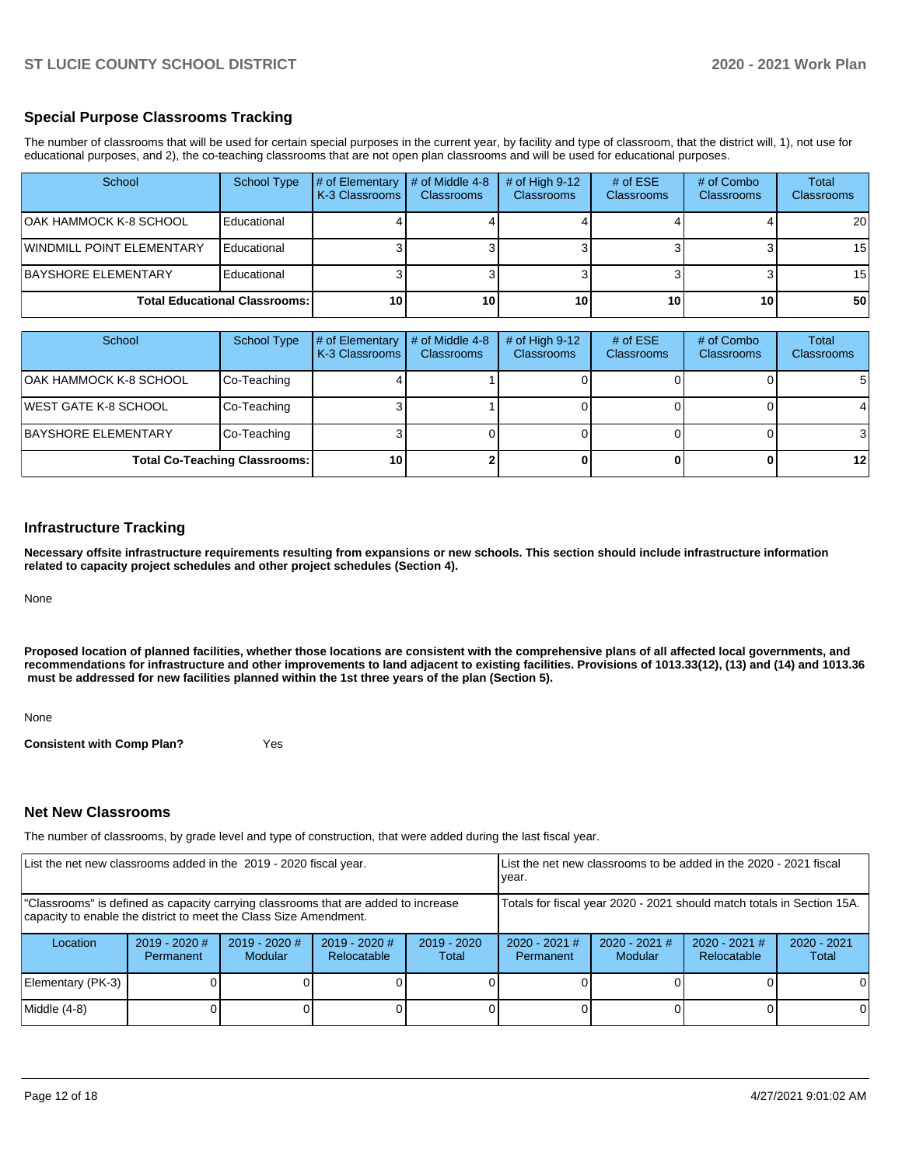## **Special Purpose Classrooms Tracking**

The number of classrooms that will be used for certain special purposes in the current year, by facility and type of classroom, that the district will, 1), not use for educational purposes, and 2), the co-teaching classrooms that are not open plan classrooms and will be used for educational purposes.

| School                               | <b>School Type</b> | # of Elementary<br>K-3 Classrooms | # of Middle 4-8<br><b>Classrooms</b> | $#$ of High 9-12<br><b>Classrooms</b> | # of $ESE$<br>Classrooms | # of Combo<br><b>Classrooms</b> | Total<br><b>Classrooms</b> |
|--------------------------------------|--------------------|-----------------------------------|--------------------------------------|---------------------------------------|--------------------------|---------------------------------|----------------------------|
| <b>OAK HAMMOCK K-8 SCHOOL</b>        | Educational        |                                   |                                      |                                       |                          |                                 | <b>20</b>                  |
| <b>WINDMILL POINT ELEMENTARY</b>     | Educational        |                                   |                                      |                                       |                          |                                 | 15 <sup>1</sup>            |
| BAYSHORE ELEMENTARY                  | Educational        |                                   |                                      |                                       |                          |                                 | 15 <sup>1</sup>            |
| <b>Total Educational Classrooms:</b> |                    | 10                                | 10 <sup>1</sup>                      | 10 <sub>1</sub>                       | 10                       | 10                              | 50                         |

| School                       | School Type                          | # of Elementary<br>K-3 Classrooms | # of Middle 4-8<br><b>Classrooms</b> | $#$ of High 9-12<br><b>Classrooms</b> | # of $ESE$<br><b>Classrooms</b> | # of Combo<br><b>Classrooms</b> | Total<br>Classrooms |
|------------------------------|--------------------------------------|-----------------------------------|--------------------------------------|---------------------------------------|---------------------------------|---------------------------------|---------------------|
| OAK HAMMOCK K-8 SCHOOL       | Co-Teaching                          |                                   |                                      |                                       |                                 |                                 | 5                   |
| <b>IWEST GATE K-8 SCHOOL</b> | Co-Teaching                          |                                   |                                      |                                       |                                 |                                 | 4                   |
| BAYSHORE ELEMENTARY          | Co-Teaching                          |                                   |                                      |                                       |                                 |                                 | 3                   |
|                              | <b>Total Co-Teaching Classrooms:</b> | 10                                |                                      |                                       |                                 |                                 | $12 \,$             |

#### **Infrastructure Tracking**

**Necessary offsite infrastructure requirements resulting from expansions or new schools. This section should include infrastructure information related to capacity project schedules and other project schedules (Section 4).** 

None

**Proposed location of planned facilities, whether those locations are consistent with the comprehensive plans of all affected local governments, and recommendations for infrastructure and other improvements to land adjacent to existing facilities. Provisions of 1013.33(12), (13) and (14) and 1013.36 must be addressed for new facilities planned within the 1st three years of the plan (Section 5).** 

None

**Consistent with Comp Plan?** Yes

#### **Net New Classrooms**

The number of classrooms, by grade level and type of construction, that were added during the last fiscal year.

| List the net new classrooms added in the 2019 - 2020 fiscal year.                                                                                       |                              |                            |                                |                                                                        | List the net new classrooms to be added in the 2020 - 2021 fiscal<br>year. |                                   |                                |                        |
|---------------------------------------------------------------------------------------------------------------------------------------------------------|------------------------------|----------------------------|--------------------------------|------------------------------------------------------------------------|----------------------------------------------------------------------------|-----------------------------------|--------------------------------|------------------------|
| "Classrooms" is defined as capacity carrying classrooms that are added to increase<br>capacity to enable the district to meet the Class Size Amendment. |                              |                            |                                | Totals for fiscal year 2020 - 2021 should match totals in Section 15A. |                                                                            |                                   |                                |                        |
| Location                                                                                                                                                | $2019 - 2020$ #<br>Permanent | $2019 - 2020$ #<br>Modular | $2019 - 2020$ #<br>Relocatable | $2019 - 2020$<br>Total                                                 | $2020 - 2021$ #<br>Permanent                                               | $2020 - 2021$ #<br><b>Modular</b> | $2020 - 2021$ #<br>Relocatable | $2020 - 2021$<br>Total |
| Elementary (PK-3)                                                                                                                                       |                              |                            |                                |                                                                        |                                                                            |                                   |                                | ΟI                     |
| Middle (4-8)                                                                                                                                            |                              |                            |                                |                                                                        |                                                                            |                                   |                                | 0                      |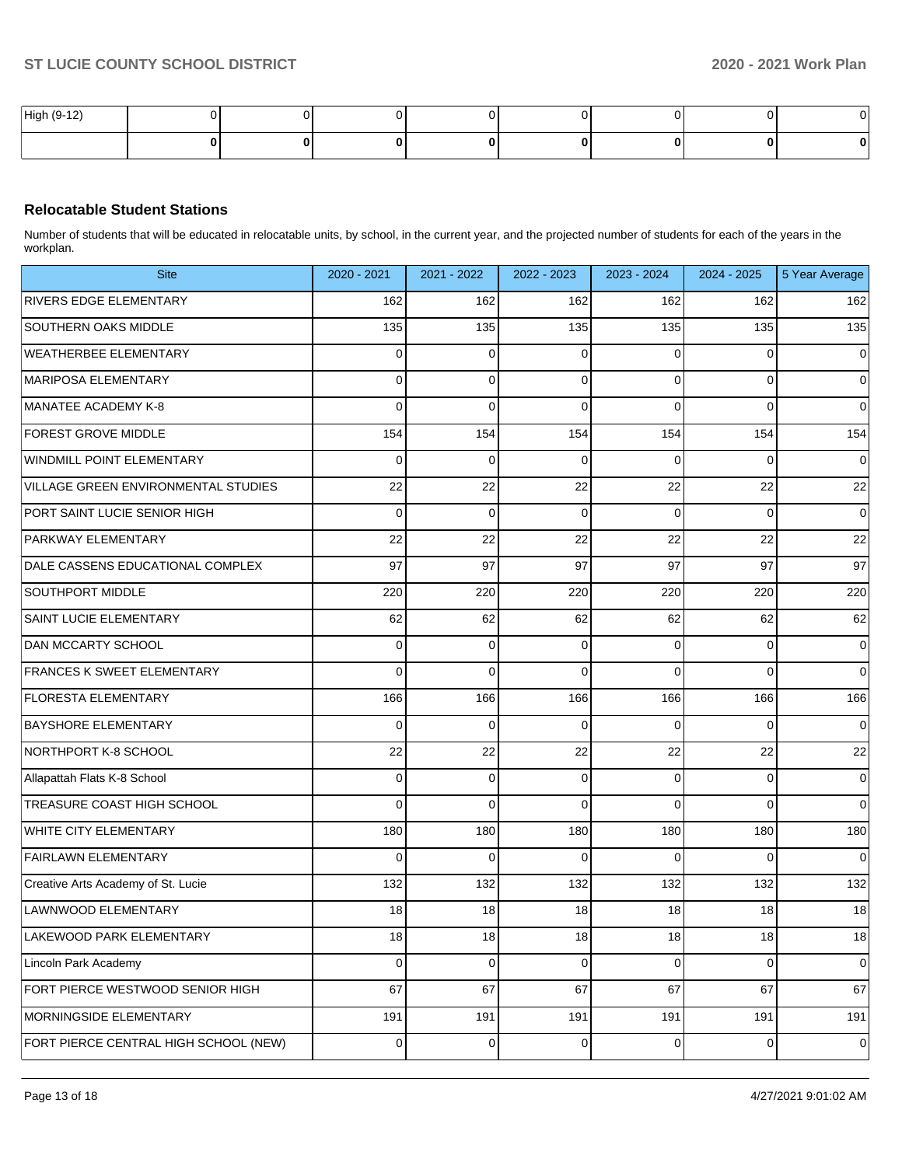| High (9-12) |  |  |  |  |
|-------------|--|--|--|--|
|             |  |  |  |  |

## **Relocatable Student Stations**

Number of students that will be educated in relocatable units, by school, in the current year, and the projected number of students for each of the years in the workplan.

| <b>Site</b>                           | 2020 - 2021 | 2021 - 2022 | 2022 - 2023 | 2023 - 2024 | 2024 - 2025    | 5 Year Average |
|---------------------------------------|-------------|-------------|-------------|-------------|----------------|----------------|
| <b>RIVERS EDGE ELEMENTARY</b>         | 162         | 162         | 162         | 162         | 162            | 162            |
| <b>SOUTHERN OAKS MIDDLE</b>           | 135         | 135         | 135         | 135         | 135            | 135            |
| <b>WEATHERBEE ELEMENTARY</b>          | 0           | 0           | $\Omega$    | 0           | 0              | $\overline{0}$ |
| <b>MARIPOSA ELEMENTARY</b>            | 0           | 0           | $\Omega$    | 0           | 0              | $\overline{0}$ |
| MANATEE ACADEMY K-8                   | 0           | 0           | $\Omega$    | $\Omega$    | 0              | $\overline{0}$ |
| FOREST GROVE MIDDLE                   | 154         | 154         | 154         | 154         | 154            | 154            |
| WINDMILL POINT ELEMENTARY             | 0           | 0           | $\Omega$    | 0           | 0              | $\overline{0}$ |
| VILLAGE GREEN ENVIRONMENTAL STUDIES   | 22          | 22          | 22          | 22          | 22             | 22             |
| PORT SAINT LUCIE SENIOR HIGH          | 0           | 0           | $\Omega$    | $\Omega$    | 0              | $\overline{0}$ |
| PARKWAY ELEMENTARY                    | 22          | 22          | 22          | 22          | 22             | 22             |
| DALE CASSENS EDUCATIONAL COMPLEX      | 97          | 97          | 97          | 97          | 97             | 97             |
| SOUTHPORT MIDDLE                      | 220         | 220         | 220         | 220         | 220            | 220            |
| SAINT LUCIE ELEMENTARY                | 62          | 62          | 62          | 62          | 62             | 62             |
| DAN MCCARTY SCHOOL                    | 0           | 0           | $\Omega$    | 0           | 0              | $\overline{0}$ |
| FRANCES K SWEET ELEMENTARY            | 0           | 0           | $\Omega$    | $\Omega$    | 0              | $\overline{0}$ |
| <b>FLORESTA ELEMENTARY</b>            | 166         | 166         | 166         | 166         | 166            | 166            |
| <b>BAYSHORE ELEMENTARY</b>            | 0           | 0           | $\Omega$    | 0           | 0              | $\overline{0}$ |
| NORTHPORT K-8 SCHOOL                  | 22          | 22          | 22          | 22          | 22             | 22             |
| Allapattah Flats K-8 School           | 0           | 0           | $\mathbf 0$ | 0           | 0              | $\overline{0}$ |
| TREASURE COAST HIGH SCHOOL            | 0           | 0           | $\Omega$    | $\Omega$    | $\Omega$       | $\overline{0}$ |
| WHITE CITY ELEMENTARY                 | 180         | 180         | 180         | 180         | 180            | 180            |
| <b>FAIRLAWN ELEMENTARY</b>            | 0           | 0           | $\Omega$    | 0           | $\Omega$       | $\overline{0}$ |
| Creative Arts Academy of St. Lucie    | 132         | 132         | 132         | 132         | 132            | 132            |
| LAWNWOOD ELEMENTARY                   | 18          | 18          | 18          | 18          | 18             | 18             |
| LAKEWOOD PARK ELEMENTARY              | 18          | 18          | 18          | 18          | 18             | 18             |
| Lincoln Park Academy                  | 0           | 0           | $\mathbf 0$ | 0           | $\overline{0}$ | $\overline{0}$ |
| FORT PIERCE WESTWOOD SENIOR HIGH      | 67          | 67          | 67          | 67          | 67             | 67             |
| MORNINGSIDE ELEMENTARY                | 191         | 191         | 191         | 191         | 191            | 191            |
| FORT PIERCE CENTRAL HIGH SCHOOL (NEW) | 0           | 0           | 0           | 0           | $\overline{0}$ | $\pmb{0}$      |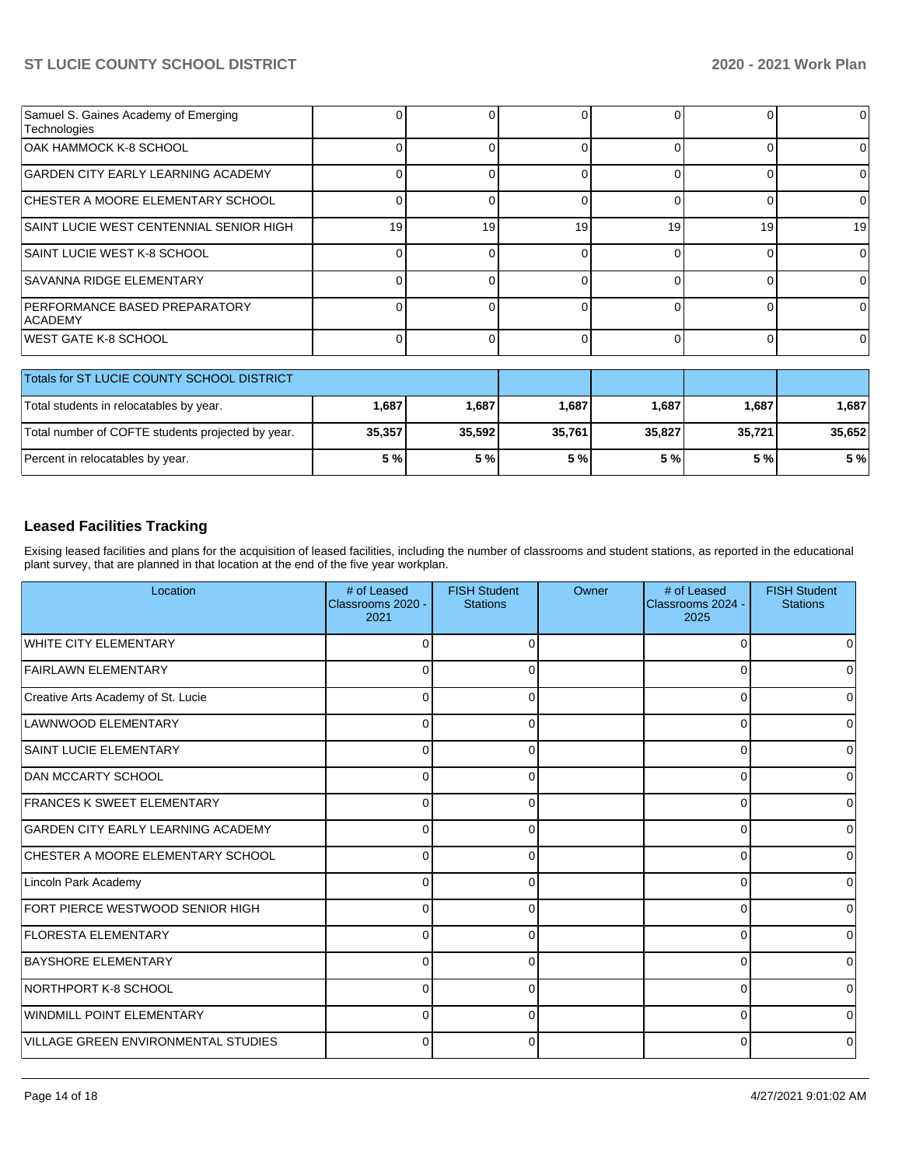| Samuel S. Gaines Academy of Emerging<br>Technologies |                 |    |    |    |    |    |
|------------------------------------------------------|-----------------|----|----|----|----|----|
| IOAK HAMMOCK K-8 SCHOOL                              |                 |    |    |    |    |    |
| <b>GARDEN CITY EARLY LEARNING ACADEMY</b>            |                 |    |    |    |    |    |
| <b>ICHESTER A MOORE ELEMENTARY SCHOOL</b>            |                 |    |    |    |    |    |
| SAINT LUCIE WEST CENTENNIAL SENIOR HIGH              | 19 <sup>1</sup> | 19 | 19 | 19 | 19 | 19 |
| <b>SAINT LUCIE WEST K-8 SCHOOL</b>                   |                 |    |    |    |    |    |
| <b>SAVANNA RIDGE ELEMENTARY</b>                      |                 |    |    |    |    |    |
| IPERFORMANCE BASED PREPARATORY<br><b>ACADEMY</b>     |                 |    |    |    |    |    |
| <b>IWEST GATE K-8 SCHOOL</b>                         |                 |    |    |    |    |    |

| Totals for ST LUCIE COUNTY SCHOOL DISTRICT        |        |        |        |        |        |        |
|---------------------------------------------------|--------|--------|--------|--------|--------|--------|
| Total students in relocatables by year.           | 1,687  | 1,687  | 1,687  | 1.687  | 1,687  | 1.687  |
| Total number of COFTE students projected by year. | 35,357 | 35.592 | 35.761 | 35.827 | 35.721 | 35.652 |
| Percent in relocatables by year.                  | 5 %    | 5 %l   | 5 %    | 5 %l   | 5 %l   | 5 %    |

## **Leased Facilities Tracking**

Exising leased facilities and plans for the acquisition of leased facilities, including the number of classrooms and student stations, as reported in the educational plant survey, that are planned in that location at the end of the five year workplan.

| Location                            | # of Leased<br>Classrooms 2020 -<br>2021 | <b>FISH Student</b><br><b>Stations</b> | Owner | # of Leased<br>Classrooms 2024 -<br>2025 | <b>FISH Student</b><br><b>Stations</b> |
|-------------------------------------|------------------------------------------|----------------------------------------|-------|------------------------------------------|----------------------------------------|
| WHITE CITY ELEMENTARY               |                                          |                                        |       |                                          | 0                                      |
| <b>FAIRLAWN ELEMENTARY</b>          | n                                        |                                        |       |                                          | 0                                      |
| Creative Arts Academy of St. Lucie  | 0                                        | 0                                      |       | O                                        | 0                                      |
| LAWNWOOD ELEMENTARY                 | $\Omega$                                 | 0                                      |       | ∩                                        | $\Omega$                               |
| <b>SAINT LUCIE ELEMENTARY</b>       | $\Omega$                                 | <sup>0</sup>                           |       | n                                        | 0                                      |
| <b>DAN MCCARTY SCHOOL</b>           | $\cap$                                   | $\Omega$                               |       | U                                        | 0                                      |
| <b>FRANCES K SWEET ELEMENTARY</b>   | $\Omega$                                 | $\Omega$                               |       | O                                        | $\overline{0}$                         |
| GARDEN CITY EARLY LEARNING ACADEMY  | $\Omega$                                 | $\Omega$                               |       | U                                        | $\overline{0}$                         |
| CHESTER A MOORE ELEMENTARY SCHOOL   | $\Omega$                                 |                                        |       | n                                        | $\overline{0}$                         |
| Lincoln Park Academy                |                                          |                                        |       |                                          | 0                                      |
| FORT PIERCE WESTWOOD SENIOR HIGH    |                                          |                                        |       | U                                        | $\overline{0}$                         |
| <b>FLORESTA ELEMENTARY</b>          | ſ                                        | ∩                                      |       | U                                        | $\overline{0}$                         |
| BAYSHORE ELEMENTARY                 | U                                        | <sup>0</sup>                           |       | n                                        | $\overline{0}$                         |
| NORTHPORT K-8 SCHOOL                | O                                        | $\Omega$                               |       | ∩                                        | 0                                      |
| WINDMILL POINT ELEMENTARY           | $\Omega$                                 | $\Omega$                               |       | 0                                        | $\Omega$                               |
| VILLAGE GREEN ENVIRONMENTAL STUDIES | 0                                        | 0                                      |       | 0                                        | 0                                      |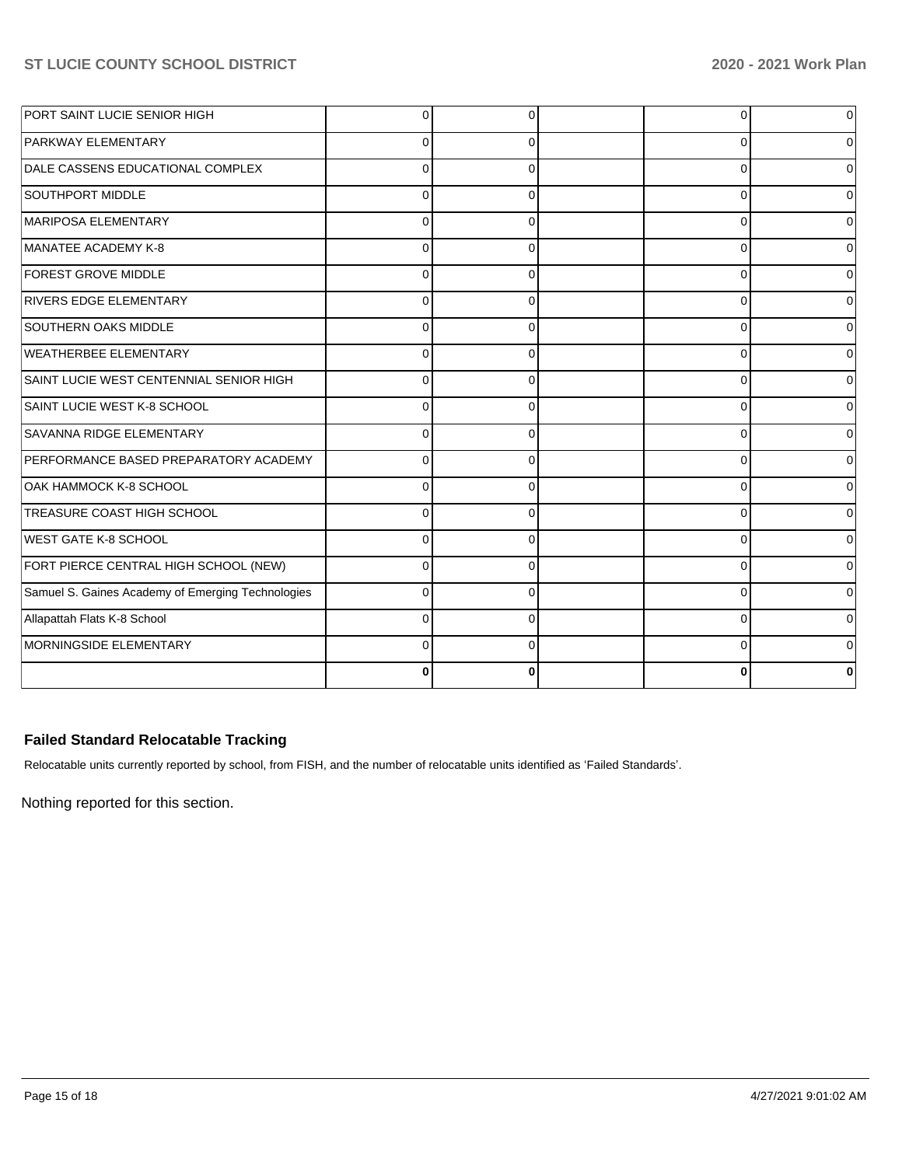| PORT SAINT LUCIE SENIOR HIGH                      | $\Omega$ | <sup>0</sup> | 0        |  |
|---------------------------------------------------|----------|--------------|----------|--|
| PARKWAY ELEMENTARY                                | 0        | 0            | 0        |  |
| DALE CASSENS EDUCATIONAL COMPLEX                  |          | 0            | 0        |  |
| <b>SOUTHPORT MIDDLE</b>                           | C        | 0            | $\Omega$ |  |
| MARIPOSA ELEMENTARY                               | $\Omega$ | $\Omega$     | $\Omega$ |  |
| MANATEE ACADEMY K-8                               | $\Omega$ | $\Omega$     | $\Omega$ |  |
| <b>FOREST GROVE MIDDLE</b>                        | $\Omega$ | $\Omega$     | $\Omega$ |  |
| <b>RIVERS EDGE ELEMENTARY</b>                     | $\Omega$ | $\Omega$     | $\Omega$ |  |
| <b>SOUTHERN OAKS MIDDLE</b>                       | 0        | 0            | 0        |  |
| <b>WEATHERBEE ELEMENTARY</b>                      | $\Omega$ | $\Omega$     | 0        |  |
| SAINT LUCIE WEST CENTENNIAL SENIOR HIGH           | $\Omega$ | $\Omega$     | $\Omega$ |  |
| SAINT LUCIE WEST K-8 SCHOOL                       | $\Omega$ | $\Omega$     | $\Omega$ |  |
| SAVANNA RIDGE ELEMENTARY                          | C        | 0            | 0        |  |
| PERFORMANCE BASED PREPARATORY ACADEMY             | $\Omega$ | 0            | $\Omega$ |  |
| OAK HAMMOCK K-8 SCHOOL                            | $\Omega$ | $\Omega$     | $\Omega$ |  |
| TREASURE COAST HIGH SCHOOL                        | C        | 0            | $\Omega$ |  |
| WEST GATE K-8 SCHOOL                              | C        | 0            | 0        |  |
| FORT PIERCE CENTRAL HIGH SCHOOL (NEW)             | $\Omega$ | $\Omega$     | $\Omega$ |  |
| Samuel S. Gaines Academy of Emerging Technologies | $\Omega$ | $\Omega$     | $\Omega$ |  |
| Allapattah Flats K-8 School                       | C        | $\Omega$     | 0        |  |
| MORNINGSIDE ELEMENTARY                            |          | 0            | 0        |  |
|                                                   | O        | 0            | 0        |  |

## **Failed Standard Relocatable Tracking**

Relocatable units currently reported by school, from FISH, and the number of relocatable units identified as 'Failed Standards'.

Nothing reported for this section.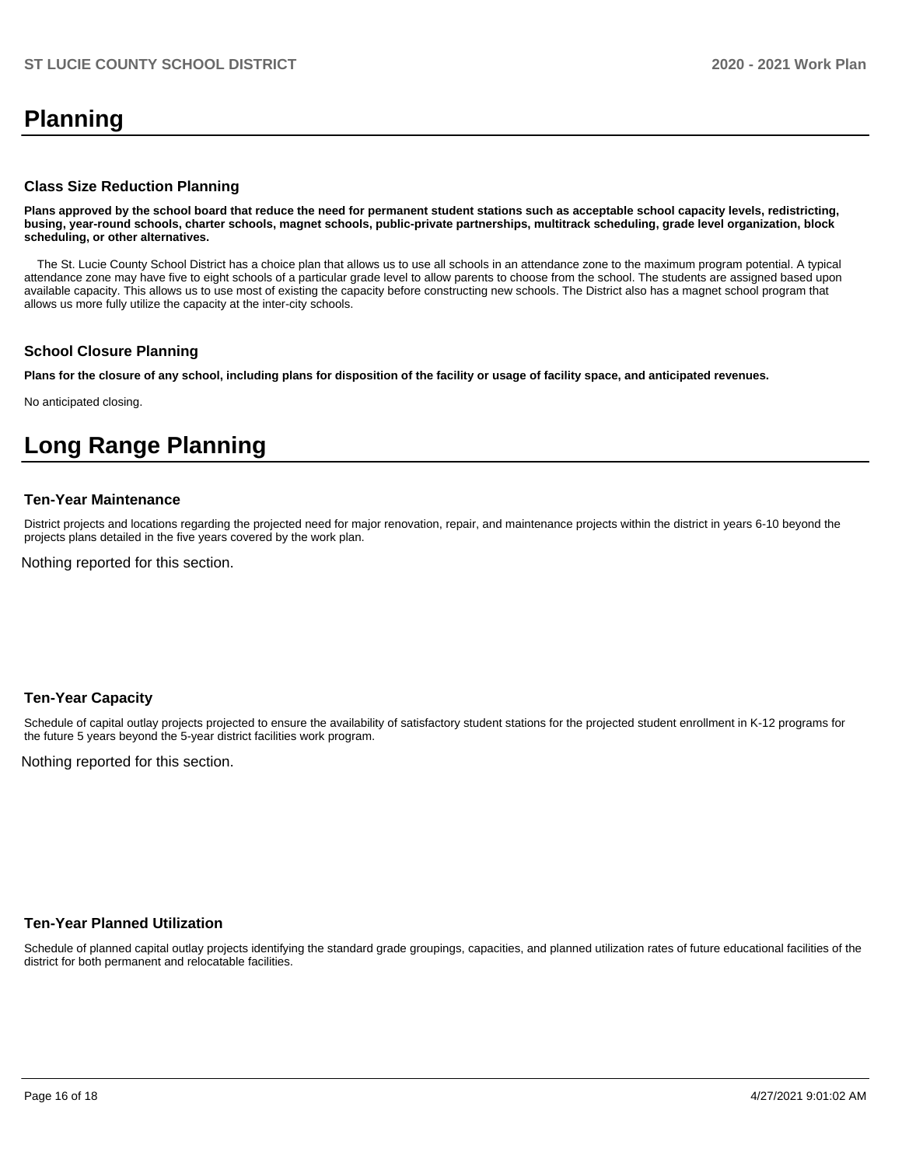# **Planning**

#### **Class Size Reduction Planning**

**Plans approved by the school board that reduce the need for permanent student stations such as acceptable school capacity levels, redistricting, busing, year-round schools, charter schools, magnet schools, public-private partnerships, multitrack scheduling, grade level organization, block scheduling, or other alternatives.**

 The St. Lucie County School District has a choice plan that allows us to use all schools in an attendance zone to the maximum program potential. A typical attendance zone may have five to eight schools of a particular grade level to allow parents to choose from the school. The students are assigned based upon available capacity. This allows us to use most of existing the capacity before constructing new schools. The District also has a magnet school program that allows us more fully utilize the capacity at the inter-city schools.

#### **School Closure Planning**

**Plans for the closure of any school, including plans for disposition of the facility or usage of facility space, and anticipated revenues.** 

No anticipated closing.

# **Long Range Planning**

#### **Ten-Year Maintenance**

District projects and locations regarding the projected need for major renovation, repair, and maintenance projects within the district in years 6-10 beyond the projects plans detailed in the five years covered by the work plan.

Nothing reported for this section.

#### **Ten-Year Capacity**

Schedule of capital outlay projects projected to ensure the availability of satisfactory student stations for the projected student enrollment in K-12 programs for the future 5 years beyond the 5-year district facilities work program.

Nothing reported for this section.

### **Ten-Year Planned Utilization**

Schedule of planned capital outlay projects identifying the standard grade groupings, capacities, and planned utilization rates of future educational facilities of the district for both permanent and relocatable facilities.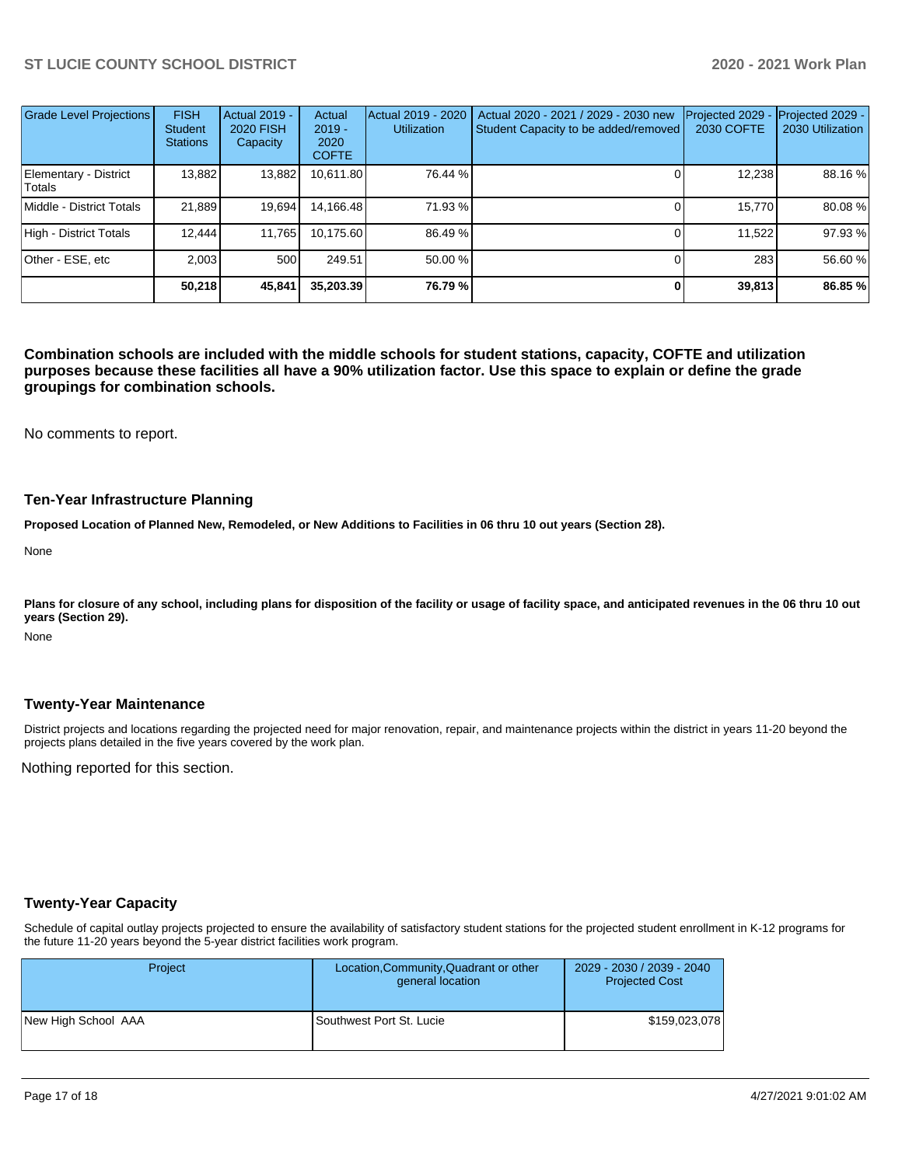| <b>Grade Level Projections</b>  | <b>FISH</b><br><b>Student</b><br><b>Stations</b> | <b>Actual 2019 -</b><br><b>2020 FISH</b><br>Capacity | Actual<br>$2019 -$<br>2020<br><b>COFTE</b> | Actual 2019 - 2020<br><b>Utilization</b> | Actual 2020 - 2021 / 2029 - 2030 new<br>Student Capacity to be added/removed | Projected 2029<br>2030 COFTE | Projected 2029 -<br>2030 Utilization |
|---------------------------------|--------------------------------------------------|------------------------------------------------------|--------------------------------------------|------------------------------------------|------------------------------------------------------------------------------|------------------------------|--------------------------------------|
| Elementary - District<br>Totals | 13,882                                           | 13,882                                               | 10,611.80                                  | 76.44 %                                  |                                                                              | 12,238                       | 88.16 %                              |
| Middle - District Totals        | 21.889                                           | 19,694                                               | 14,166.48                                  | 71.93 %                                  |                                                                              | 15.770                       | 80.08%                               |
| High - District Totals          | 12.444                                           | 11,765                                               | 10,175.60                                  | 86.49 %                                  |                                                                              | 11,522                       | 97.93%                               |
| Other - ESE, etc                | 2.003                                            | 500                                                  | 249.51                                     | 50.00 %                                  |                                                                              | 283                          | 56.60 %                              |
|                                 | 50.218                                           | 45,841                                               | 35.203.39                                  | 76.79 %                                  | 0                                                                            | 39,813                       | 86.85 %                              |

**Combination schools are included with the middle schools for student stations, capacity, COFTE and utilization purposes because these facilities all have a 90% utilization factor. Use this space to explain or define the grade groupings for combination schools.** 

No comments to report.

#### **Ten-Year Infrastructure Planning**

**Proposed Location of Planned New, Remodeled, or New Additions to Facilities in 06 thru 10 out years (Section 28).**

None

Plans for closure of any school, including plans for disposition of the facility or usage of facility space, and anticipated revenues in the 06 thru 10 out **years (Section 29).**

None

#### **Twenty-Year Maintenance**

District projects and locations regarding the projected need for major renovation, repair, and maintenance projects within the district in years 11-20 beyond the projects plans detailed in the five years covered by the work plan.

Nothing reported for this section.

#### **Twenty-Year Capacity**

Schedule of capital outlay projects projected to ensure the availability of satisfactory student stations for the projected student enrollment in K-12 programs for the future 11-20 years beyond the 5-year district facilities work program.

| <b>Project</b>      | Location, Community, Quadrant or other<br>general location | 2029 - 2030 / 2039 - 2040<br><b>Projected Cost</b> |
|---------------------|------------------------------------------------------------|----------------------------------------------------|
| New High School AAA | Southwest Port St. Lucie                                   | \$159,023,078                                      |